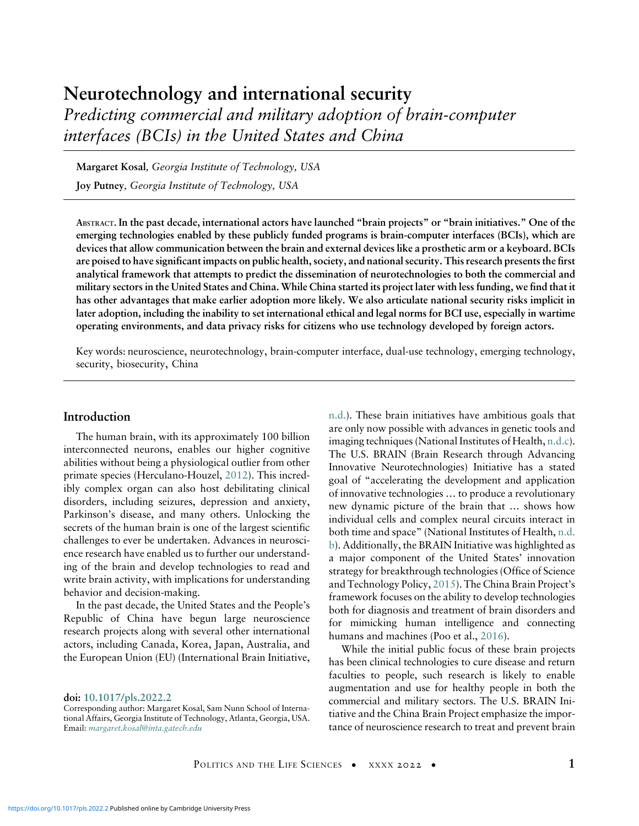# Neurotechnology and international security Predicting commercial and military adoption of brain-computer interfaces (BCIs) in the United States and China

Margaret Kosal, Georgia Institute of Technology, USA

Joy Putney, Georgia Institute of Technology, USA

ABSTRACT. In the past decade, international actors have launched "brain projects" or "brain initiatives." One of the emerging technologies enabled by these publicly funded programs is brain-computer interfaces (BCIs), which are devices that allow communication between the brain and external devices like a prosthetic arm or a keyboard. BCIs are poised to have significant impacts on public health, society, and national security. This research presents the first analytical framework that attempts to predict the dissemination of neurotechnologies to both the commercial and military sectors in the United States and China. While China started its project later with less funding, we find that it has other advantages that make earlier adoption more likely. We also articulate national security risks implicit in later adoption, including the inability to set international ethical and legal norms for BCI use, especially in wartime operating environments, and data privacy risks for citizens who use technology developed by foreign actors.

Key words: neuroscience, neurotechnology, brain-computer interface, dual-use technology, emerging technology, security, biosecurity, China

#### Introduction

The human brain, with its approximately 100 billion interconnected neurons, enables our higher cognitive abilities without being a physiological outlier from other primate species (Herculano-Houzel, [2012\)](#page-19-0). This incredibly complex organ can also host debilitating clinical disorders, including seizures, depression and anxiety, Parkinson's disease, and many others. Unlocking the secrets of the human brain is one of the largest scientific challenges to ever be undertaken. Advances in neuroscience research have enabled us to further our understanding of the brain and develop technologies to read and write brain activity, with implications for understanding behavior and decision-making.

In the past decade, the United States and the People's Republic of China have begun large neuroscience research projects along with several other international actors, including Canada, Korea, Japan, Australia, and the European Union (EU) (International Brain Initiative,

doi: [10.1017/pls.2022.2](https://doi.org/10.1017/pls.2022.2)

[n.d.\)](#page-19-1). These brain initiatives have ambitious goals that are only now possible with advances in genetic tools and imaging techniques (National Institutes of Health, [n.d.c](#page-20-0)). The U.S. BRAIN (Brain Research through Advancing Innovative Neurotechnologies) Initiative has a stated goal of "accelerating the development and application of innovative technologies … to produce a revolutionary new dynamic picture of the brain that … shows how individual cells and complex neural circuits interact in both time and space" (National Institutes of Health, [n.d.](#page-20-1) [b\)](#page-20-1). Additionally, the BRAIN Initiative was highlighted as a major component of the United States' innovation strategy for breakthrough technologies (Office of Science and Technology Policy, [2015\)](#page-21-0). The China Brain Project's framework focuses on the ability to develop technologies both for diagnosis and treatment of brain disorders and for mimicking human intelligence and connecting humans and machines (Poo et al., [2016\)](#page-21-1).

While the initial public focus of these brain projects has been clinical technologies to cure disease and return faculties to people, such research is likely to enable augmentation and use for healthy people in both the commercial and military sectors. The U.S. BRAIN Initiative and the China Brain Project emphasize the importance of neuroscience research to treat and prevent brain

Corresponding author: Margaret Kosal, Sam Nunn School of International Affairs, Georgia Institute of Technology, Atlanta, Georgia, USA. Email: [margaret.kosal@inta.gatech.edu](mailto:margaret.kosal@inta.gatech.edu)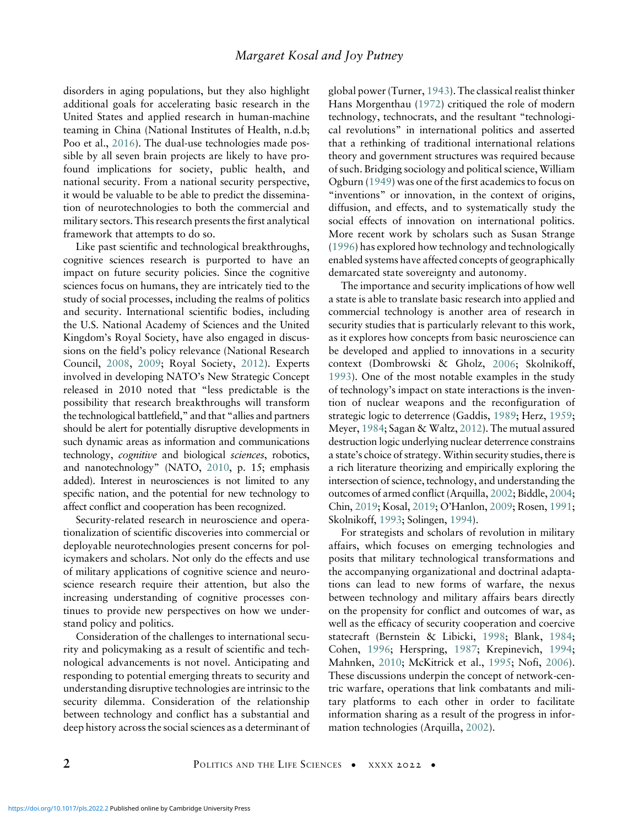disorders in aging populations, but they also highlight additional goals for accelerating basic research in the United States and applied research in human-machine teaming in China (National Institutes of Health, n.d.b; Poo et al., [2016](#page-21-1)). The dual-use technologies made possible by all seven brain projects are likely to have profound implications for society, public health, and national security. From a national security perspective, it would be valuable to be able to predict the dissemination of neurotechnologies to both the commercial and military sectors. This research presents the first analytical framework that attempts to do so.

Like past scientific and technological breakthroughs, cognitive sciences research is purported to have an impact on future security policies. Since the cognitive sciences focus on humans, they are intricately tied to the study of social processes, including the realms of politics and security. International scientific bodies, including the U.S. National Academy of Sciences and the United Kingdom's Royal Society, have also engaged in discussions on the field's policy relevance (National Research Council, [2008](#page-20-2), [2009](#page-20-3); Royal Society, [2012](#page-21-2)). Experts involved in developing NATO's New Strategic Concept released in 2010 noted that "less predictable is the possibility that research breakthroughs will transform the technological battlefield," and that "allies and partners should be alert for potentially disruptive developments in such dynamic areas as information and communications technology, cognitive and biological sciences, robotics, and nanotechnology" (NATO, [2010,](#page-20-4) p. 15; emphasis added). Interest in neurosciences is not limited to any specific nation, and the potential for new technology to affect conflict and cooperation has been recognized.

Security-related research in neuroscience and operationalization of scientific discoveries into commercial or deployable neurotechnologies present concerns for policymakers and scholars. Not only do the effects and use of military applications of cognitive science and neuroscience research require their attention, but also the increasing understanding of cognitive processes continues to provide new perspectives on how we understand policy and politics.

Consideration of the challenges to international security and policymaking as a result of scientific and technological advancements is not novel. Anticipating and responding to potential emerging threats to security and understanding disruptive technologies are intrinsic to the security dilemma. Consideration of the relationship between technology and conflict has a substantial and deep history across the social sciences as a determinant of global power (Turner, [1943\)](#page-22-0). The classical realist thinker Hans Morgenthau ([1972\)](#page-20-5) critiqued the role of modern technology, technocrats, and the resultant "technological revolutions" in international politics and asserted that a rethinking of traditional international relations theory and government structures was required because of such. Bridging sociology and political science, William Ogburn [\(1949](#page-21-3)) was one of the first academics to focus on "inventions" or innovation, in the context of origins, diffusion, and effects, and to systematically study the social effects of innovation on international politics. More recent work by scholars such as Susan Strange [\(1996](#page-22-1)) has explored how technology and technologically enabled systems have affected concepts of geographically demarcated state sovereignty and autonomy.

The importance and security implications of how well a state is able to translate basic research into applied and commercial technology is another area of research in security studies that is particularly relevant to this work, as it explores how concepts from basic neuroscience can be developed and applied to innovations in a security context (Dombrowski & Gholz, [2006](#page-18-0); Skolnikoff, [1993\)](#page-22-2). One of the most notable examples in the study of technology's impact on state interactions is the invention of nuclear weapons and the reconfiguration of strategic logic to deterrence (Gaddis, [1989;](#page-18-1) Herz, [1959](#page-19-2); Meyer, [1984](#page-20-6); Sagan & Waltz, [2012](#page-21-4)). The mutual assured destruction logic underlying nuclear deterrence constrains a state's choice of strategy. Within security studies, there is a rich literature theorizing and empirically exploring the intersection of science, technology, and understanding the outcomes of armed conflict (Arquilla, [2002;](#page-17-0) Biddle, [2004](#page-17-1); Chin, [2019;](#page-17-2) Kosal, [2019](#page-19-3); O'Hanlon, [2009](#page-21-5); Rosen, [1991](#page-21-6); Skolnikoff, [1993](#page-22-2); Solingen, [1994\)](#page-22-3).

For strategists and scholars of revolution in military affairs, which focuses on emerging technologies and posits that military technological transformations and the accompanying organizational and doctrinal adaptations can lead to new forms of warfare, the nexus between technology and military affairs bears directly on the propensity for conflict and outcomes of war, as well as the efficacy of security cooperation and coercive statecraft (Bernstein & Libicki, [1998](#page-17-3); Blank, [1984](#page-17-4); Cohen, [1996](#page-17-5); Herspring, [1987](#page-19-4); Krepinevich, [1994](#page-19-5); Mahnken, [2010;](#page-20-7) McKitrick et al., [1995](#page-20-8); Nofi, [2006](#page-21-7)). These discussions underpin the concept of network-centric warfare, operations that link combatants and military platforms to each other in order to facilitate information sharing as a result of the progress in information technologies (Arquilla, [2002\)](#page-17-0).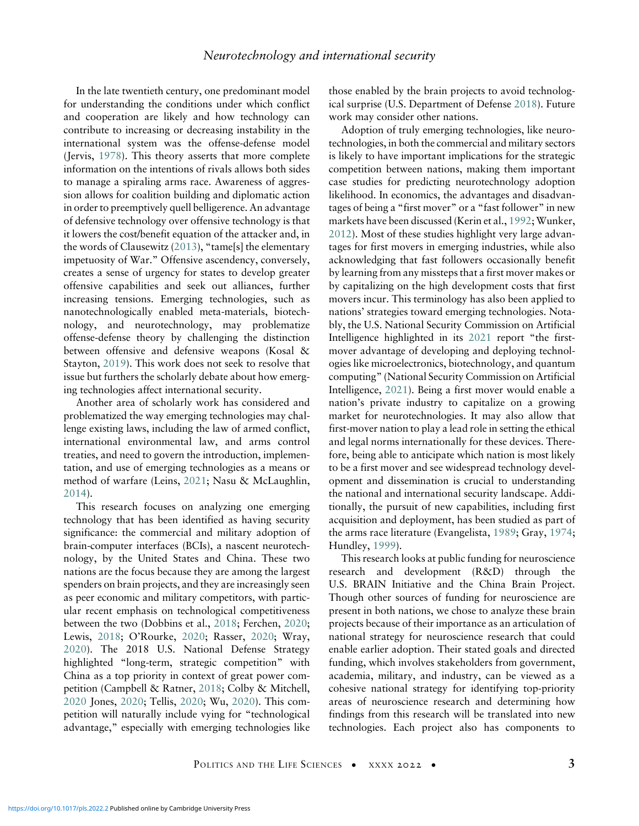In the late twentieth century, one predominant model for understanding the conditions under which conflict and cooperation are likely and how technology can contribute to increasing or decreasing instability in the international system was the offense-defense model (Jervis, [1978](#page-19-6)). This theory asserts that more complete information on the intentions of rivals allows both sides to manage a spiraling arms race. Awareness of aggression allows for coalition building and diplomatic action in order to preemptively quell belligerence. An advantage of defensive technology over offensive technology is that it lowers the cost/benefit equation of the attacker and, in the words of Clausewitz ([2013\)](#page-17-6), "tame[s] the elementary impetuosity of War." Offensive ascendency, conversely, creates a sense of urgency for states to develop greater offensive capabilities and seek out alliances, further increasing tensions. Emerging technologies, such as nanotechnologically enabled meta-materials, biotechnology, and neurotechnology, may problematize offense-defense theory by challenging the distinction between offensive and defensive weapons (Kosal & Stayton, [2019\)](#page-19-7). This work does not seek to resolve that issue but furthers the scholarly debate about how emerging technologies affect international security.

Another area of scholarly work has considered and problematized the way emerging technologies may challenge existing laws, including the law of armed conflict, international environmental law, and arms control treaties, and need to govern the introduction, implementation, and use of emerging technologies as a means or method of warfare (Leins, [2021;](#page-20-9) Nasu & McLaughlin, [2014\)](#page-20-10).

This research focuses on analyzing one emerging technology that has been identified as having security significance: the commercial and military adoption of brain-computer interfaces (BCIs), a nascent neurotechnology, by the United States and China. These two nations are the focus because they are among the largest spenders on brain projects, and they are increasingly seen as peer economic and military competitors, with particular recent emphasis on technological competitiveness between the two (Dobbins et al., [2018](#page-18-2); Ferchen, [2020](#page-18-3); Lewis, [2018;](#page-20-11) O'Rourke, [2020](#page-21-8); Rasser, [2020;](#page-21-7) Wray, [2020\)](#page-22-4). The 2018 U.S. National Defense Strategy highlighted "long-term, strategic competition" with China as a top priority in context of great power competition (Campbell & Ratner, [2018](#page-17-7); Colby & Mitchell, [2020](#page-17-8) Jones, [2020;](#page-19-8) Tellis, [2020;](#page-22-5) Wu, [2020](#page-22-6)). This competition will naturally include vying for "technological advantage," especially with emerging technologies like

those enabled by the brain projects to avoid technological surprise (U.S. Department of Defense [2018\)](#page-22-7). Future work may consider other nations.

Adoption of truly emerging technologies, like neurotechnologies, in both the commercial and military sectors is likely to have important implications for the strategic competition between nations, making them important case studies for predicting neurotechnology adoption likelihood. In economics, the advantages and disadvantages of being a "first mover" or a "fast follower" in new markets have been discussed (Kerin et al., [1992;](#page-19-9) Wunker, [2012](#page-22-8)). Most of these studies highlight very large advantages for first movers in emerging industries, while also acknowledging that fast followers occasionally benefit by learning from any missteps that a first mover makes or by capitalizing on the high development costs that first movers incur. This terminology has also been applied to nations' strategies toward emerging technologies. Notably, the U.S. National Security Commission on Artificial Intelligence highlighted in its [2021](#page-20-12) report "the firstmover advantage of developing and deploying technologies like microelectronics, biotechnology, and quantum computing" (National Security Commission on Artificial Intelligence, [2021](#page-20-12)). Being a first mover would enable a nation's private industry to capitalize on a growing market for neurotechnologies. It may also allow that first-mover nation to play a lead role in setting the ethical and legal norms internationally for these devices. Therefore, being able to anticipate which nation is most likely to be a first mover and see widespread technology development and dissemination is crucial to understanding the national and international security landscape. Additionally, the pursuit of new capabilities, including first acquisition and deployment, has been studied as part of the arms race literature (Evangelista, [1989;](#page-18-4) Gray, [1974;](#page-19-10) Hundley, [1999](#page-19-11)).

This research looks at public funding for neuroscience research and development (R&D) through the U.S. BRAIN Initiative and the China Brain Project. Though other sources of funding for neuroscience are present in both nations, we chose to analyze these brain projects because of their importance as an articulation of national strategy for neuroscience research that could enable earlier adoption. Their stated goals and directed funding, which involves stakeholders from government, academia, military, and industry, can be viewed as a cohesive national strategy for identifying top-priority areas of neuroscience research and determining how findings from this research will be translated into new technologies. Each project also has components to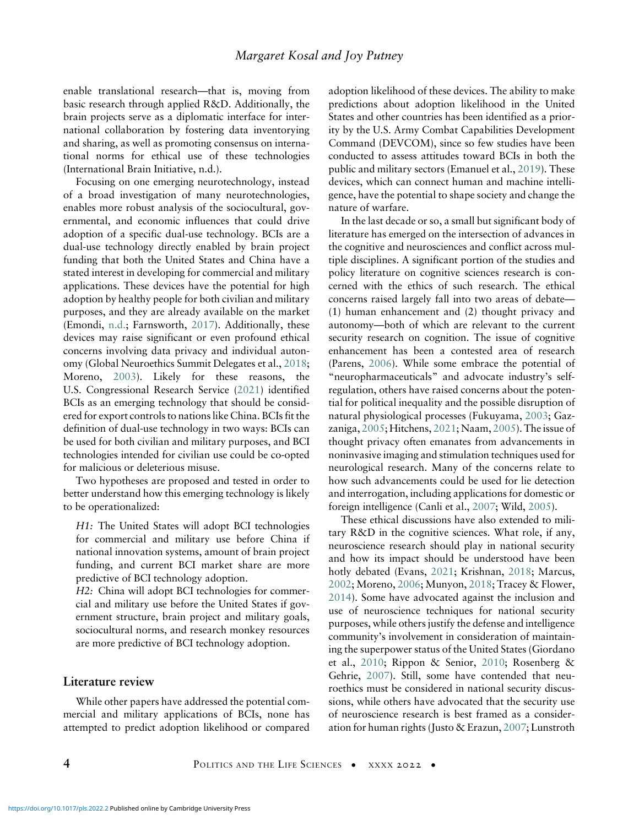enable translational research—that is, moving from basic research through applied R&D. Additionally, the brain projects serve as a diplomatic interface for international collaboration by fostering data inventorying and sharing, as well as promoting consensus on international norms for ethical use of these technologies (International Brain Initiative, n.d.).

Focusing on one emerging neurotechnology, instead of a broad investigation of many neurotechnologies, enables more robust analysis of the sociocultural, governmental, and economic influences that could drive adoption of a specific dual-use technology. BCIs are a dual-use technology directly enabled by brain project funding that both the United States and China have a stated interest in developing for commercial and military applications. These devices have the potential for high adoption by healthy people for both civilian and military purposes, and they are already available on the market (Emondi, [n.d.;](#page-18-5) Farnsworth, [2017\)](#page-18-6). Additionally, these devices may raise significant or even profound ethical concerns involving data privacy and individual autonomy (Global Neuroethics Summit Delegates et al., [2018](#page-18-7); Moreno, [2003\)](#page-20-9). Likely for these reasons, the U.S. Congressional Research Service [\(2021](#page-17-9)) identified BCIs as an emerging technology that should be considered for export controls to nations like China. BCIs fit the definition of dual-use technology in two ways: BCIs can be used for both civilian and military purposes, and BCI technologies intended for civilian use could be co-opted for malicious or deleterious misuse.

Two hypotheses are proposed and tested in order to better understand how this emerging technology is likely to be operationalized:

H1: The United States will adopt BCI technologies for commercial and military use before China if national innovation systems, amount of brain project funding, and current BCI market share are more predictive of BCI technology adoption.

H2: China will adopt BCI technologies for commercial and military use before the United States if government structure, brain project and military goals, sociocultural norms, and research monkey resources are more predictive of BCI technology adoption.

# Literature review

While other papers have addressed the potential commercial and military applications of BCIs, none has attempted to predict adoption likelihood or compared adoption likelihood of these devices. The ability to make predictions about adoption likelihood in the United States and other countries has been identified as a priority by the U.S. Army Combat Capabilities Development Command (DEVCOM), since so few studies have been conducted to assess attitudes toward BCIs in both the public and military sectors (Emanuel et al., [2019](#page-18-8)). These devices, which can connect human and machine intelligence, have the potential to shape society and change the nature of warfare.

In the last decade or so, a small but significant body of literature has emerged on the intersection of advances in the cognitive and neurosciences and conflict across multiple disciplines. A significant portion of the studies and policy literature on cognitive sciences research is concerned with the ethics of such research. The ethical concerns raised largely fall into two areas of debate— (1) human enhancement and (2) thought privacy and autonomy—both of which are relevant to the current security research on cognition. The issue of cognitive enhancement has been a contested area of research (Parens, [2006](#page-21-9)). While some embrace the potential of "neuropharmaceuticals" and advocate industry's selfregulation, others have raised concerns about the potential for political inequality and the possible disruption of natural physiological processes (Fukuyama, [2003](#page-18-9); Gazzaniga, [2005;](#page-18-10) Hitchens, [2021](#page-19-12); Naam, [2005\)](#page-20-13). The issue of thought privacy often emanates from advancements in noninvasive imaging and stimulation techniques used for neurological research. Many of the concerns relate to how such advancements could be used for lie detection and interrogation, including applications for domestic or foreign intelligence (Canli et al., [2007;](#page-17-10) Wild, [2005](#page-22-9)).

These ethical discussions have also extended to military R&D in the cognitive sciences. What role, if any, neuroscience research should play in national security and how its impact should be understood have been hotly debated (Evans, [2021](#page-18-11); Krishnan, [2018](#page-19-13); Marcus, [2002;](#page-20-14) Moreno, [2006](#page-20-11); Munyon, [2018;](#page-20-15) Tracey & Flower, [2014\)](#page-22-10). Some have advocated against the inclusion and use of neuroscience techniques for national security purposes, while others justify the defense and intelligence community's involvement in consideration of maintaining the superpower status of the United States (Giordano et al., [2010;](#page-18-12) Rippon & Senior, [2010;](#page-21-10) Rosenberg & Gehrie, [2007](#page-21-11)). Still, some have contended that neuroethics must be considered in national security discussions, while others have advocated that the security use of neuroscience research is best framed as a consideration for human rights (Justo & Erazun, [2007;](#page-19-14) Lunstroth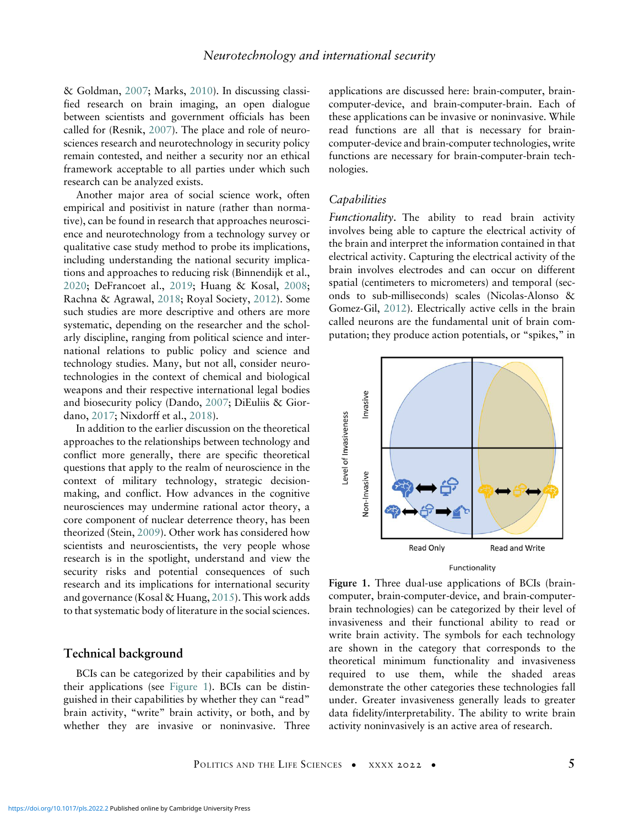& Goldman, [2007;](#page-20-16) Marks, [2010\)](#page-20-17). In discussing classified research on brain imaging, an open dialogue between scientists and government officials has been called for (Resnik, [2007\)](#page-21-12). The place and role of neurosciences research and neurotechnology in security policy remain contested, and neither a security nor an ethical framework acceptable to all parties under which such research can be analyzed exists.

Another major area of social science work, often empirical and positivist in nature (rather than normative), can be found in research that approaches neuroscience and neurotechnology from a technology survey or qualitative case study method to probe its implications, including understanding the national security implications and approaches to reducing risk (Binnendijk et al., [2020;](#page-17-11) DeFrancoet al., [2019;](#page-18-13) Huang & Kosal, [2008](#page-19-15); Rachna & Agrawal, [2018](#page-21-13); Royal Society, [2012](#page-21-2)). Some such studies are more descriptive and others are more systematic, depending on the researcher and the scholarly discipline, ranging from political science and international relations to public policy and science and technology studies. Many, but not all, consider neurotechnologies in the context of chemical and biological weapons and their respective international legal bodies and biosecurity policy (Dando, [2007;](#page-17-12) DiEuliis & Giordano, [2017;](#page-18-14) Nixdorff et al., [2018\)](#page-21-14).

<span id="page-4-0"></span>In addition to the earlier discussion on the theoretical approaches to the relationships between technology and conflict more generally, there are specific theoretical questions that apply to the realm of neuroscience in the context of military technology, strategic decisionmaking, and conflict. How advances in the cognitive neurosciences may undermine rational actor theory, a core component of nuclear deterrence theory, has been theorized (Stein, [2009\)](#page-22-11). Other work has considered how scientists and neuroscientists, the very people whose research is in the spotlight, understand and view the security risks and potential consequences of such research and its implications for international security and governance (Kosal & Huang, [2015\)](#page-19-16). This work adds to that systematic body of literature in the social sciences.

## Technical background

BCIs can be categorized by their capabilities and by their applications (see [Figure 1\)](#page-4-0). BCIs can be distinguished in their capabilities by whether they can "read" brain activity, "write" brain activity, or both, and by whether they are invasive or noninvasive. Three applications are discussed here: brain-computer, braincomputer-device, and brain-computer-brain. Each of these applications can be invasive or noninvasive. While read functions are all that is necessary for braincomputer-device and brain-computer technologies, write functions are necessary for brain-computer-brain technologies.

#### **Capabilities**

Functionality. The ability to read brain activity involves being able to capture the electrical activity of the brain and interpret the information contained in that electrical activity. Capturing the electrical activity of the brain involves electrodes and can occur on different spatial (centimeters to micrometers) and temporal (seconds to sub-milliseconds) scales (Nicolas-Alonso & Gomez-Gil, [2012\)](#page-21-13). Electrically active cells in the brain called neurons are the fundamental unit of brain computation; they produce action potentials, or "spikes," in



Figure 1. Three dual-use applications of BCIs (braincomputer, brain-computer-device, and brain-computerbrain technologies) can be categorized by their level of invasiveness and their functional ability to read or write brain activity. The symbols for each technology are shown in the category that corresponds to the theoretical minimum functionality and invasiveness required to use them, while the shaded areas demonstrate the other categories these technologies fall under. Greater invasiveness generally leads to greater data fidelity/interpretability. The ability to write brain activity noninvasively is an active area of research.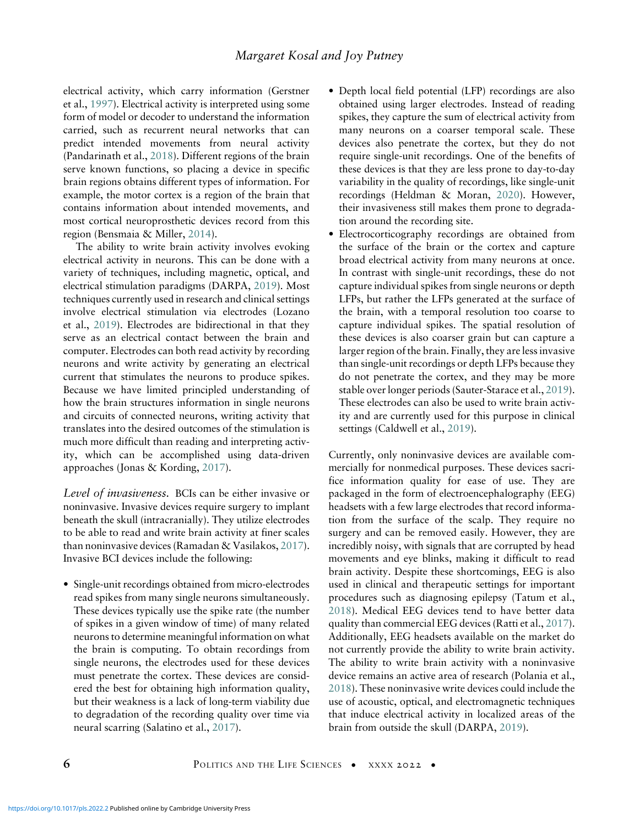electrical activity, which carry information (Gerstner et al., [1997](#page-18-15)). Electrical activity is interpreted using some form of model or decoder to understand the information carried, such as recurrent neural networks that can predict intended movements from neural activity (Pandarinath et al., [2018\)](#page-21-15). Different regions of the brain serve known functions, so placing a device in specific brain regions obtains different types of information. For example, the motor cortex is a region of the brain that contains information about intended movements, and most cortical neuroprosthetic devices record from this region (Bensmaia & Miller, [2014](#page-17-13)).

The ability to write brain activity involves evoking electrical activity in neurons. This can be done with a variety of techniques, including magnetic, optical, and electrical stimulation paradigms (DARPA, [2019](#page-18-16)). Most techniques currently used in research and clinical settings involve electrical stimulation via electrodes (Lozano et al., [2019\)](#page-20-18). Electrodes are bidirectional in that they serve as an electrical contact between the brain and computer. Electrodes can both read activity by recording neurons and write activity by generating an electrical current that stimulates the neurons to produce spikes. Because we have limited principled understanding of how the brain structures information in single neurons and circuits of connected neurons, writing activity that translates into the desired outcomes of the stimulation is much more difficult than reading and interpreting activity, which can be accomplished using data-driven approaches (Jonas & Kording, [2017\)](#page-19-17).

Level of invasiveness. BCIs can be either invasive or noninvasive. Invasive devices require surgery to implant beneath the skull (intracranially). They utilize electrodes to be able to read and write brain activity at finer scales than noninvasive devices (Ramadan & Vasilakos, [2017\)](#page-21-16). Invasive BCI devices include the following:

• Single-unit recordings obtained from micro-electrodes read spikes from many single neurons simultaneously. These devices typically use the spike rate (the number of spikes in a given window of time) of many related neurons to determine meaningful information on what the brain is computing. To obtain recordings from single neurons, the electrodes used for these devices must penetrate the cortex. These devices are considered the best for obtaining high information quality, but their weakness is a lack of long-term viability due to degradation of the recording quality over time via neural scarring (Salatino et al., [2017](#page-21-17)).

- Depth local field potential (LFP) recordings are also obtained using larger electrodes. Instead of reading spikes, they capture the sum of electrical activity from many neurons on a coarser temporal scale. These devices also penetrate the cortex, but they do not require single-unit recordings. One of the benefits of these devices is that they are less prone to day-to-day variability in the quality of recordings, like single-unit recordings (Heldman & Moran, [2020\)](#page-19-18). However, their invasiveness still makes them prone to degradation around the recording site.
- Electrocorticography recordings are obtained from the surface of the brain or the cortex and capture broad electrical activity from many neurons at once. In contrast with single-unit recordings, these do not capture individual spikes from single neurons or depth LFPs, but rather the LFPs generated at the surface of the brain, with a temporal resolution too coarse to capture individual spikes. The spatial resolution of these devices is also coarser grain but can capture a larger region of the brain. Finally, they are less invasive than single-unit recordings or depth LFPs because they do not penetrate the cortex, and they may be more stable over longer periods (Sauter-Starace et al., [2019](#page-21-18)). These electrodes can also be used to write brain activity and are currently used for this purpose in clinical settings (Caldwell et al., [2019\)](#page-17-14).

Currently, only noninvasive devices are available commercially for nonmedical purposes. These devices sacrifice information quality for ease of use. They are packaged in the form of electroencephalography (EEG) headsets with a few large electrodes that record information from the surface of the scalp. They require no surgery and can be removed easily. However, they are incredibly noisy, with signals that are corrupted by head movements and eye blinks, making it difficult to read brain activity. Despite these shortcomings, EEG is also used in clinical and therapeutic settings for important procedures such as diagnosing epilepsy (Tatum et al., [2018\)](#page-22-12). Medical EEG devices tend to have better data quality than commercial EEG devices (Ratti et al., [2017](#page-21-19)). Additionally, EEG headsets available on the market do not currently provide the ability to write brain activity. The ability to write brain activity with a noninvasive device remains an active area of research (Polania et al., [2018\)](#page-21-20). These noninvasive write devices could include the use of acoustic, optical, and electromagnetic techniques that induce electrical activity in localized areas of the brain from outside the skull (DARPA, [2019\)](#page-18-16).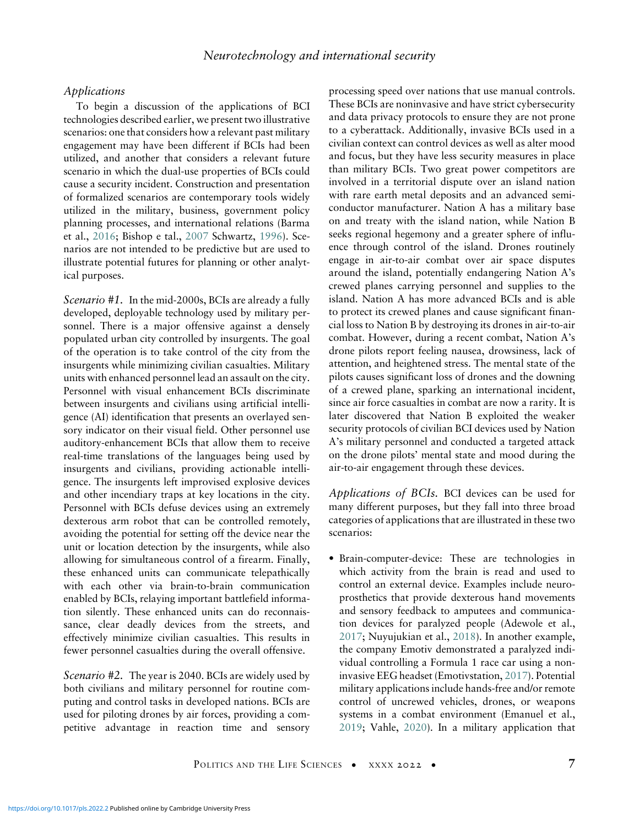#### Applications

To begin a discussion of the applications of BCI technologies described earlier, we present two illustrative scenarios: one that considers how a relevant past military engagement may have been different if BCIs had been utilized, and another that considers a relevant future scenario in which the dual-use properties of BCIs could cause a security incident. Construction and presentation of formalized scenarios are contemporary tools widely utilized in the military, business, government policy planning processes, and international relations (Barma et al., [2016;](#page-17-15) Bishop e tal., [2007](#page-17-16) Schwartz, [1996\)](#page-22-0). Scenarios are not intended to be predictive but are used to illustrate potential futures for planning or other analytical purposes.

Scenario #1. In the mid-2000s, BCIs are already a fully developed, deployable technology used by military personnel. There is a major offensive against a densely populated urban city controlled by insurgents. The goal of the operation is to take control of the city from the insurgents while minimizing civilian casualties. Military units with enhanced personnel lead an assault on the city. Personnel with visual enhancement BCIs discriminate between insurgents and civilians using artificial intelligence (AI) identification that presents an overlayed sensory indicator on their visual field. Other personnel use auditory-enhancement BCIs that allow them to receive real-time translations of the languages being used by insurgents and civilians, providing actionable intelligence. The insurgents left improvised explosive devices and other incendiary traps at key locations in the city. Personnel with BCIs defuse devices using an extremely dexterous arm robot that can be controlled remotely, avoiding the potential for setting off the device near the unit or location detection by the insurgents, while also allowing for simultaneous control of a firearm. Finally, these enhanced units can communicate telepathically with each other via brain-to-brain communication enabled by BCIs, relaying important battlefield information silently. These enhanced units can do reconnaissance, clear deadly devices from the streets, and effectively minimize civilian casualties. This results in fewer personnel casualties during the overall offensive.

Scenario #2. The year is 2040. BCIs are widely used by both civilians and military personnel for routine computing and control tasks in developed nations. BCIs are used for piloting drones by air forces, providing a competitive advantage in reaction time and sensory processing speed over nations that use manual controls. These BCIs are noninvasive and have strict cybersecurity and data privacy protocols to ensure they are not prone to a cyberattack. Additionally, invasive BCIs used in a civilian context can control devices as well as alter mood and focus, but they have less security measures in place than military BCIs. Two great power competitors are involved in a territorial dispute over an island nation with rare earth metal deposits and an advanced semiconductor manufacturer. Nation A has a military base on and treaty with the island nation, while Nation B seeks regional hegemony and a greater sphere of influence through control of the island. Drones routinely engage in air-to-air combat over air space disputes around the island, potentially endangering Nation A's crewed planes carrying personnel and supplies to the island. Nation A has more advanced BCIs and is able to protect its crewed planes and cause significant financial loss to Nation B by destroying its drones in air-to-air combat. However, during a recent combat, Nation A's drone pilots report feeling nausea, drowsiness, lack of attention, and heightened stress. The mental state of the pilots causes significant loss of drones and the downing of a crewed plane, sparking an international incident, since air force casualties in combat are now a rarity. It is later discovered that Nation B exploited the weaker security protocols of civilian BCI devices used by Nation A's military personnel and conducted a targeted attack on the drone pilots' mental state and mood during the air-to-air engagement through these devices.

Applications of BCIs. BCI devices can be used for many different purposes, but they fall into three broad categories of applications that are illustrated in these two scenarios:

• Brain-computer-device: These are technologies in which activity from the brain is read and used to control an external device. Examples include neuroprosthetics that provide dexterous hand movements and sensory feedback to amputees and communication devices for paralyzed people (Adewole et al., [2017](#page-16-0); Nuyujukian et al., [2018](#page-21-21)). In another example, the company Emotiv demonstrated a paralyzed individual controlling a Formula 1 race car using a noninvasive EEG headset (Emotivstation, [2017\)](#page-18-17). Potential military applications include hands-free and/or remote control of uncrewed vehicles, drones, or weapons systems in a combat environment (Emanuel et al., [2019](#page-18-8); Vahle, [2020](#page-22-13)). In a military application that

POLITICS AND THE LIFE SCIENCES • XXXX 2022 • 7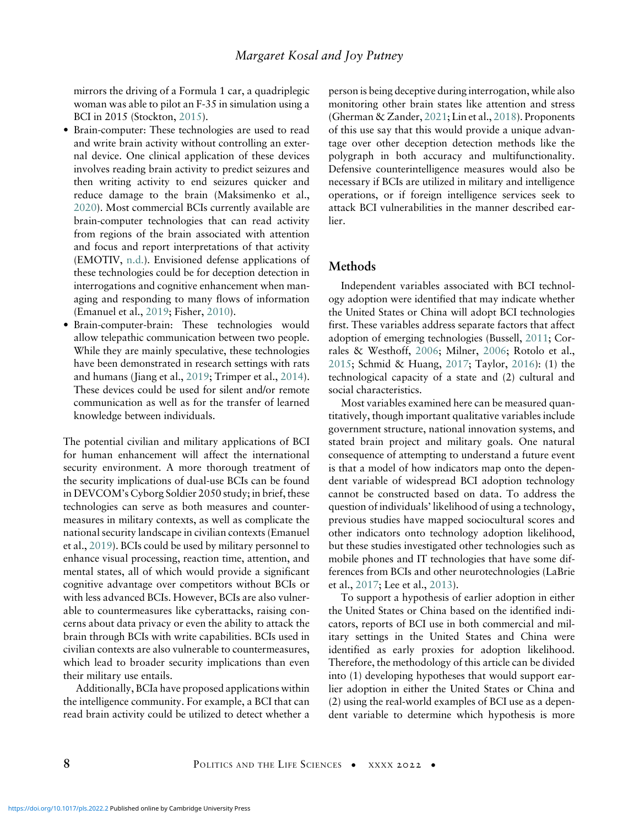mirrors the driving of a Formula 1 car, a quadriplegic woman was able to pilot an F-35 in simulation using a BCI in 2015 (Stockton, [2015\)](#page-22-14).

- Brain-computer: These technologies are used to read and write brain activity without controlling an external device. One clinical application of these devices involves reading brain activity to predict seizures and then writing activity to end seizures quicker and reduce damage to the brain (Maksimenko et al., [2020\)](#page-20-19). Most commercial BCIs currently available are brain-computer technologies that can read activity from regions of the brain associated with attention and focus and report interpretations of that activity (EMOTIV, [n.d.\)](#page-18-18). Envisioned defense applications of these technologies could be for deception detection in interrogations and cognitive enhancement when managing and responding to many flows of information (Emanuel et al., [2019;](#page-18-8) Fisher, [2010](#page-18-19)).
- Brain-computer-brain: These technologies would allow telepathic communication between two people. While they are mainly speculative, these technologies have been demonstrated in research settings with rats and humans (Jiang et al., [2019;](#page-19-19) Trimper et al., [2014\)](#page-22-15). These devices could be used for silent and/or remote communication as well as for the transfer of learned knowledge between individuals.

The potential civilian and military applications of BCI for human enhancement will affect the international security environment. A more thorough treatment of the security implications of dual-use BCIs can be found in DEVCOM's Cyborg Soldier 2050 study; in brief, these technologies can serve as both measures and countermeasures in military contexts, as well as complicate the national security landscape in civilian contexts (Emanuel et al., [2019\)](#page-18-8). BCIs could be used by military personnel to enhance visual processing, reaction time, attention, and mental states, all of which would provide a significant cognitive advantage over competitors without BCIs or with less advanced BCIs. However, BCIs are also vulnerable to countermeasures like cyberattacks, raising concerns about data privacy or even the ability to attack the brain through BCIs with write capabilities. BCIs used in civilian contexts are also vulnerable to countermeasures, which lead to broader security implications than even their military use entails.

Additionally, BCIa have proposed applications within the intelligence community. For example, a BCI that can read brain activity could be utilized to detect whether a person is being deceptive during interrogation, while also monitoring other brain states like attention and stress (Gherman & Zander, [2021;](#page-18-20) Lin et al., [2018](#page-20-20)). Proponents of this use say that this would provide a unique advantage over other deception detection methods like the polygraph in both accuracy and multifunctionality. Defensive counterintelligence measures would also be necessary if BCIs are utilized in military and intelligence operations, or if foreign intelligence services seek to attack BCI vulnerabilities in the manner described earlier.

#### Methods

Independent variables associated with BCI technology adoption were identified that may indicate whether the United States or China will adopt BCI technologies first. These variables address separate factors that affect adoption of emerging technologies (Bussell, [2011;](#page-17-17) Corrales & Westhoff, [2006](#page-17-18); Milner, [2006](#page-20-21); Rotolo et al., [2015;](#page-21-15) Schmid & Huang, [2017](#page-21-22); Taylor, [2016\)](#page-22-16): (1) the technological capacity of a state and (2) cultural and social characteristics.

Most variables examined here can be measured quantitatively, though important qualitative variables include government structure, national innovation systems, and stated brain project and military goals. One natural consequence of attempting to understand a future event is that a model of how indicators map onto the dependent variable of widespread BCI adoption technology cannot be constructed based on data. To address the question of individuals' likelihood of using a technology, previous studies have mapped sociocultural scores and other indicators onto technology adoption likelihood, but these studies investigated other technologies such as mobile phones and IT technologies that have some differences from BCIs and other neurotechnologies (LaBrie et al., [2017;](#page-19-20) Lee et al., [2013\)](#page-20-21).

To support a hypothesis of earlier adoption in either the United States or China based on the identified indicators, reports of BCI use in both commercial and military settings in the United States and China were identified as early proxies for adoption likelihood. Therefore, the methodology of this article can be divided into (1) developing hypotheses that would support earlier adoption in either the United States or China and (2) using the real-world examples of BCI use as a dependent variable to determine which hypothesis is more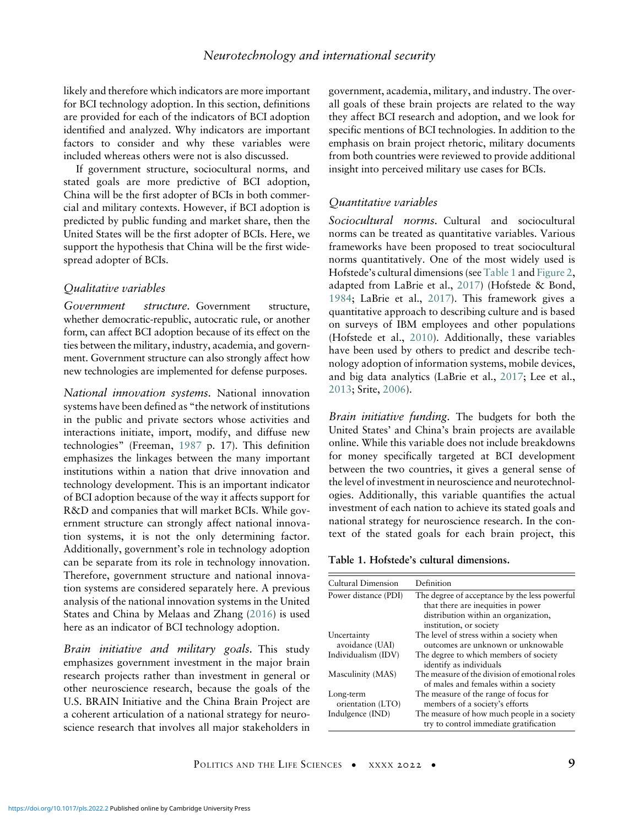likely and therefore which indicators are more important for BCI technology adoption. In this section, definitions are provided for each of the indicators of BCI adoption identified and analyzed. Why indicators are important factors to consider and why these variables were included whereas others were not is also discussed.

If government structure, sociocultural norms, and stated goals are more predictive of BCI adoption, China will be the first adopter of BCIs in both commercial and military contexts. However, if BCI adoption is predicted by public funding and market share, then the United States will be the first adopter of BCIs. Here, we support the hypothesis that China will be the first widespread adopter of BCIs.

#### Qualitative variables

Government structure. Government structure, whether democratic-republic, autocratic rule, or another form, can affect BCI adoption because of its effect on the ties between the military, industry, academia, and government. Government structure can also strongly affect how new technologies are implemented for defense purposes.

National innovation systems. National innovation systems have been defined as "the network of institutions in the public and private sectors whose activities and interactions initiate, import, modify, and diffuse new technologies" (Freeman, [1987](#page-18-21) p. 17). This definition emphasizes the linkages between the many important institutions within a nation that drive innovation and technology development. This is an important indicator of BCI adoption because of the way it affects support for R&D and companies that will market BCIs. While government structure can strongly affect national innovation systems, it is not the only determining factor. Additionally, government's role in technology adoption can be separate from its role in technology innovation. Therefore, government structure and national innovation systems are considered separately here. A previous analysis of the national innovation systems in the United States and China by Melaas and Zhang [\(2016](#page-20-22)) is used here as an indicator of BCI technology adoption.

<span id="page-8-0"></span>Brain initiative and military goals. This study emphasizes government investment in the major brain research projects rather than investment in general or other neuroscience research, because the goals of the U.S. BRAIN Initiative and the China Brain Project are a coherent articulation of a national strategy for neuroscience research that involves all major stakeholders in government, academia, military, and industry. The overall goals of these brain projects are related to the way they affect BCI research and adoption, and we look for specific mentions of BCI technologies. In addition to the emphasis on brain project rhetoric, military documents from both countries were reviewed to provide additional insight into perceived military use cases for BCIs.

#### Quantitative variables

Sociocultural norms. Cultural and sociocultural norms can be treated as quantitative variables. Various frameworks have been proposed to treat sociocultural norms quantitatively. One of the most widely used is Hofstede's cultural dimensions (see [Table 1](#page-8-0) and [Figure 2,](#page-9-0) adapted from LaBrie et al., [2017](#page-19-20)) (Hofstede & Bond, [1984](#page-19-21); LaBrie et al., [2017](#page-19-20)). This framework gives a quantitative approach to describing culture and is based on surveys of IBM employees and other populations (Hofstede et al., [2010\)](#page-19-22). Additionally, these variables have been used by others to predict and describe technology adoption of information systems, mobile devices, and big data analytics (LaBrie et al., [2017;](#page-19-20) Lee et al., [2013](#page-20-21); Srite, [2006](#page-22-17)).

Brain initiative funding. The budgets for both the United States' and China's brain projects are available online. While this variable does not include breakdowns for money specifically targeted at BCI development between the two countries, it gives a general sense of the level of investment in neuroscience and neurotechnologies. Additionally, this variable quantifies the actual investment of each nation to achieve its stated goals and national strategy for neuroscience research. In the context of the stated goals for each brain project, this

Table 1. Hofstede's cultural dimensions.

| Cultural Dimension             | Definition                                                                                                                                             |
|--------------------------------|--------------------------------------------------------------------------------------------------------------------------------------------------------|
| Power distance (PDI)           | The degree of acceptance by the less powerful<br>that there are inequities in power<br>distribution within an organization,<br>institution, or society |
| Uncertainty<br>avoidance (UAI) | The level of stress within a society when<br>outcomes are unknown or unknowable                                                                        |
| Individualism (IDV)            | The degree to which members of society<br>identify as individuals                                                                                      |
| Masculinity (MAS)              | The measure of the division of emotional roles<br>of males and females within a society                                                                |
| Long-term<br>orientation (LTO) | The measure of the range of focus for<br>members of a society's efforts                                                                                |
| Indulgence (IND)               | The measure of how much people in a society<br>try to control immediate gratification                                                                  |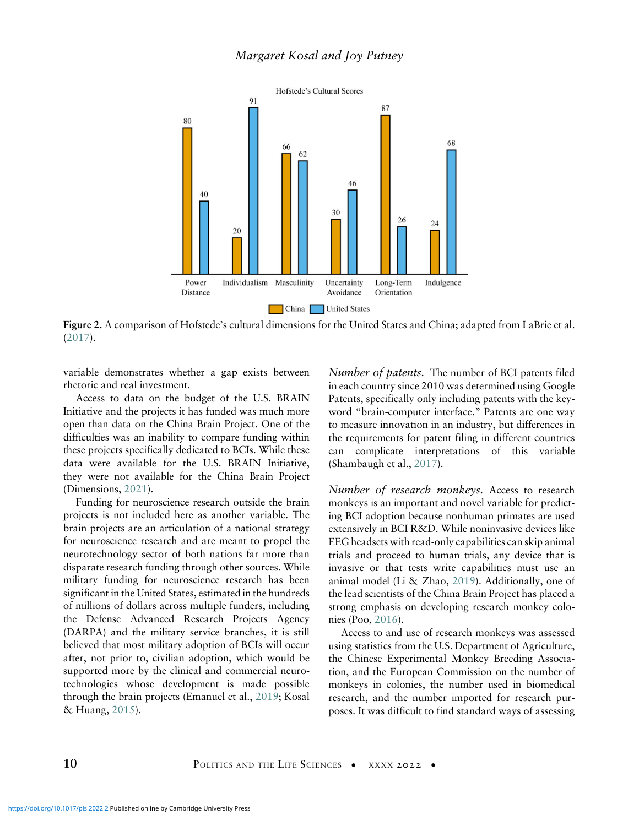<span id="page-9-0"></span>

Figure 2. A comparison of Hofstede's cultural dimensions for the United States and China; adapted from LaBrie et al. ([2017\)](#page-19-20).

variable demonstrates whether a gap exists between rhetoric and real investment.

Access to data on the budget of the U.S. BRAIN Initiative and the projects it has funded was much more open than data on the China Brain Project. One of the difficulties was an inability to compare funding within these projects specifically dedicated to BCIs. While these data were available for the U.S. BRAIN Initiative, they were not available for the China Brain Project (Dimensions, [2021](#page-18-22)).

Funding for neuroscience research outside the brain projects is not included here as another variable. The brain projects are an articulation of a national strategy for neuroscience research and are meant to propel the neurotechnology sector of both nations far more than disparate research funding through other sources. While military funding for neuroscience research has been significant in the United States, estimated in the hundreds of millions of dollars across multiple funders, including the Defense Advanced Research Projects Agency (DARPA) and the military service branches, it is still believed that most military adoption of BCIs will occur after, not prior to, civilian adoption, which would be supported more by the clinical and commercial neurotechnologies whose development is made possible through the brain projects (Emanuel et al., [2019](#page-18-8); Kosal & Huang, [2015](#page-19-16)).

Number of patents. The number of BCI patents filed in each country since 2010 was determined using Google Patents, specifically only including patents with the keyword "brain-computer interface." Patents are one way to measure innovation in an industry, but differences in the requirements for patent filing in different countries can complicate interpretations of this variable (Shambaugh et al., [2017](#page-22-7)).

Number of research monkeys. Access to research monkeys is an important and novel variable for predicting BCI adoption because nonhuman primates are used extensively in BCI R&D. While noninvasive devices like EEG headsets with read-only capabilities can skip animal trials and proceed to human trials, any device that is invasive or that tests write capabilities must use an animal model (Li & Zhao, [2019\)](#page-20-23). Additionally, one of the lead scientists of the China Brain Project has placed a strong emphasis on developing research monkey colonies (Poo, [2016](#page-21-23)).

Access to and use of research monkeys was assessed using statistics from the U.S. Department of Agriculture, the Chinese Experimental Monkey Breeding Association, and the European Commission on the number of monkeys in colonies, the number used in biomedical research, and the number imported for research purposes. It was difficult to find standard ways of assessing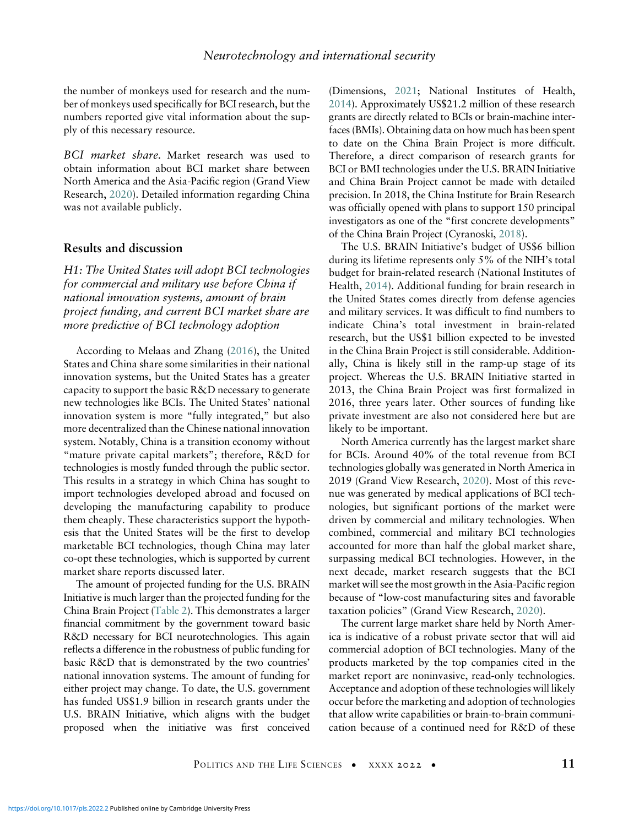the number of monkeys used for research and the number of monkeys used specifically for BCI research, but the numbers reported give vital information about the supply of this necessary resource.

BCI market share. Market research was used to obtain information about BCI market share between North America and the Asia-Pacific region (Grand View Research, [2020\)](#page-18-23). Detailed information regarding China was not available publicly.

#### Results and discussion

H1: The United States will adopt BCI technologies for commercial and military use before China if national innovation systems, amount of brain project funding, and current BCI market share are more predictive of BCI technology adoption

According to Melaas and Zhang ([2016\)](#page-20-22), the United States and China share some similarities in their national innovation systems, but the United States has a greater capacity to support the basic R&D necessary to generate new technologies like BCIs. The United States' national innovation system is more "fully integrated," but also more decentralized than the Chinese national innovation system. Notably, China is a transition economy without "mature private capital markets"; therefore, R&D for technologies is mostly funded through the public sector. This results in a strategy in which China has sought to import technologies developed abroad and focused on developing the manufacturing capability to produce them cheaply. These characteristics support the hypothesis that the United States will be the first to develop marketable BCI technologies, though China may later co-opt these technologies, which is supported by current market share reports discussed later.

The amount of projected funding for the U.S. BRAIN Initiative is much larger than the projected funding for the China Brain Project [\(Table 2](#page-11-0)). This demonstrates a larger financial commitment by the government toward basic R&D necessary for BCI neurotechnologies. This again reflects a difference in the robustness of public funding for basic R&D that is demonstrated by the two countries' national innovation systems. The amount of funding for either project may change. To date, the U.S. government has funded US\$1.9 billion in research grants under the U.S. BRAIN Initiative, which aligns with the budget proposed when the initiative was first conceived (Dimensions, [2021;](#page-18-22) National Institutes of Health, [2014\)](#page-20-24). Approximately US\$21.2 million of these research grants are directly related to BCIs or brain-machine interfaces (BMIs). Obtaining data on how much has been spent to date on the China Brain Project is more difficult. Therefore, a direct comparison of research grants for BCI or BMI technologies under the U.S. BRAIN Initiative and China Brain Project cannot be made with detailed precision. In 2018, the China Institute for Brain Research was officially opened with plans to support 150 principal investigators as one of the "first concrete developments" of the China Brain Project (Cyranoski, [2018\)](#page-17-19).

The U.S. BRAIN Initiative's budget of US\$6 billion during its lifetime represents only 5% of the NIH's total budget for brain-related research (National Institutes of Health, [2014\)](#page-20-24). Additional funding for brain research in the United States comes directly from defense agencies and military services. It was difficult to find numbers to indicate China's total investment in brain-related research, but the US\$1 billion expected to be invested in the China Brain Project is still considerable. Additionally, China is likely still in the ramp-up stage of its project. Whereas the U.S. BRAIN Initiative started in 2013, the China Brain Project was first formalized in 2016, three years later. Other sources of funding like private investment are also not considered here but are likely to be important.

North America currently has the largest market share for BCIs. Around 40% of the total revenue from BCI technologies globally was generated in North America in 2019 (Grand View Research, [2020\)](#page-18-23). Most of this revenue was generated by medical applications of BCI technologies, but significant portions of the market were driven by commercial and military technologies. When combined, commercial and military BCI technologies accounted for more than half the global market share, surpassing medical BCI technologies. However, in the next decade, market research suggests that the BCI market will see the most growth in the Asia-Pacific region because of "low-cost manufacturing sites and favorable taxation policies" (Grand View Research, [2020](#page-18-23)).

The current large market share held by North America is indicative of a robust private sector that will aid commercial adoption of BCI technologies. Many of the products marketed by the top companies cited in the market report are noninvasive, read-only technologies. Acceptance and adoption of these technologies will likely occur before the marketing and adoption of technologies that allow write capabilities or brain-to-brain communication because of a continued need for R&D of these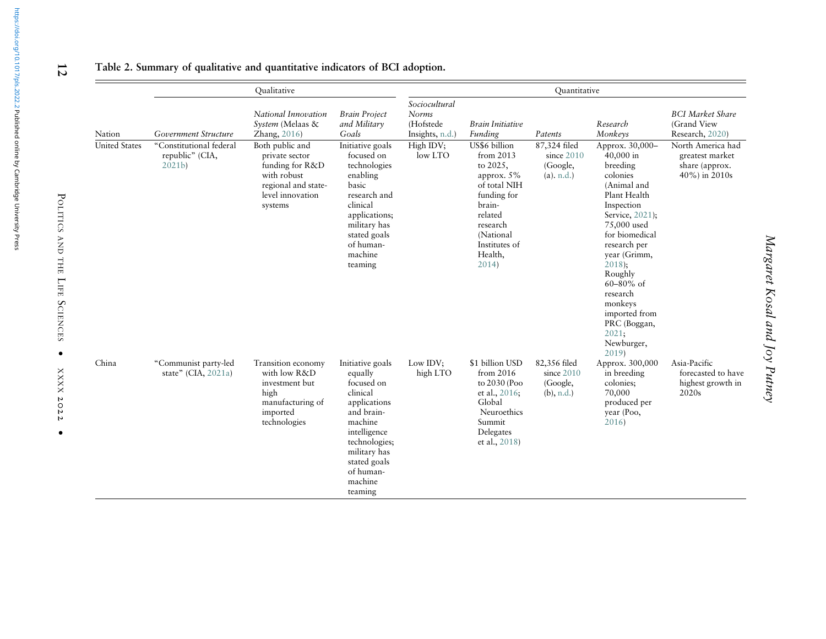|                      | <b>Qualitative</b>                                              |                                                                                                                           |                                                                                                                                                                                                    |                                                               |                                                                                                                                                                           | Quantitative                                              |                                                                                                                                                                                                                                                                                                                       |                                                                         |
|----------------------|-----------------------------------------------------------------|---------------------------------------------------------------------------------------------------------------------------|----------------------------------------------------------------------------------------------------------------------------------------------------------------------------------------------------|---------------------------------------------------------------|---------------------------------------------------------------------------------------------------------------------------------------------------------------------------|-----------------------------------------------------------|-----------------------------------------------------------------------------------------------------------------------------------------------------------------------------------------------------------------------------------------------------------------------------------------------------------------------|-------------------------------------------------------------------------|
| Nation               | Government Structure                                            | National Innovation<br>System (Melaas &<br>Zhang, 2016)                                                                   | <b>Brain Project</b><br>and Military<br>Goals                                                                                                                                                      | Sociocultural<br><b>Norms</b><br>(Hofstede<br>Insights, n.d.) | <b>Brain Initiative</b><br>Funding                                                                                                                                        | Patents                                                   | Research<br>Monkeys                                                                                                                                                                                                                                                                                                   | <b>BCI</b> Market Share<br>(Grand View<br>Research, 2020)               |
| <b>United States</b> | "Constitutional federal<br>republic" (CIA,<br>2021 <sub>b</sub> | Both public and<br>private sector<br>funding for R&D<br>with robust<br>regional and state-<br>level innovation<br>systems | Initiative goals<br>focused on<br>technologies<br>enabling<br>basic<br>research and<br>clinical<br>applications;<br>military has<br>stated goals<br>of human-<br>machine<br>teaming                | High IDV;<br>low LTO                                          | US\$6 billion<br>from 2013<br>to 2025,<br>approx. $5\%$<br>of total NIH<br>funding for<br>brain-<br>related<br>research<br>(National<br>Institutes of<br>Health,<br>2014) | 87,324 filed<br>since $2010$<br>(Google,<br>$(a)$ . n.d.) | Approx. 30,000-<br>40,000 in<br>breeding<br>colonies<br>(Animal and<br>Plant Health<br>Inspection<br>Service, 2021);<br>75,000 used<br>for biomedical<br>research per<br>year (Grimm,<br>$2018$ :<br>Roughly<br>$60 - 80\%$ of<br>research<br>monkeys<br>imported from<br>PRC (Boggan,<br>2021;<br>Newburger,<br>2019 | North America had<br>greatest market<br>share (approx.<br>40%) in 2010s |
| China                | "Communist party-led<br>state" (CIA, $2021a$ )                  | Transition economy<br>with low R&D<br>investment but<br>high<br>manufacturing of<br>imported<br>technologies              | Initiative goals<br>equally<br>focused on<br>clinical<br>applications<br>and brain-<br>machine<br>intelligence<br>technologies;<br>military has<br>stated goals<br>of human-<br>machine<br>teaming | Low IDV;<br>high LTO                                          | \$1 billion USD<br>from 2016<br>to 2030 (Poo<br>et al., 2016;<br>Global<br>Neuroethics<br>Summit<br>Delegates<br>et al., 2018)                                            | 82,356 filed<br>since 2010<br>(Google,<br>(b), n.d.       | Approx. 300,000<br>in breeding<br>colonies:<br>70,000<br>produced per<br>year (Poo,<br>2016                                                                                                                                                                                                                           | Asia-Pacific<br>forecasted to have<br>highest growth in<br>2020s        |

# Table 2. Summary of qualitative and quantitative indicators of BCI adoption.

<span id="page-11-0"></span> $12$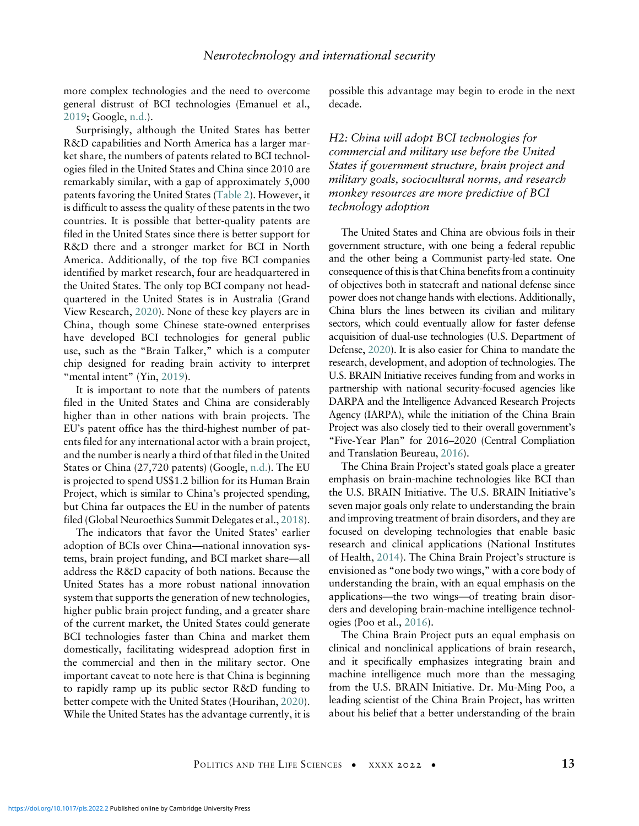more complex technologies and the need to overcome general distrust of BCI technologies (Emanuel et al., [2019;](#page-18-8) Google, [n.d.\)](#page-18-28).

Surprisingly, although the United States has better R&D capabilities and North America has a larger market share, the numbers of patents related to BCI technologies filed in the United States and China since 2010 are remarkably similar, with a gap of approximately 5,000 patents favoring the United States [\(Table 2](#page-11-0)). However, it is difficult to assess the quality of these patents in the two countries. It is possible that better-quality patents are filed in the United States since there is better support for R&D there and a stronger market for BCI in North America. Additionally, of the top five BCI companies identified by market research, four are headquartered in the United States. The only top BCI company not headquartered in the United States is in Australia (Grand View Research, [2020\)](#page-18-23). None of these key players are in China, though some Chinese state-owned enterprises have developed BCI technologies for general public use, such as the "Brain Talker," which is a computer chip designed for reading brain activity to interpret "mental intent" (Yin, [2019\)](#page-22-18).

It is important to note that the numbers of patents filed in the United States and China are considerably higher than in other nations with brain projects. The EU's patent office has the third-highest number of patents filed for any international actor with a brain project, and the number is nearly a third of that filed in the United States or China (27,720 patents) (Google, [n.d.](#page-18-29)). The EU is projected to spend US\$1.2 billion for its Human Brain Project, which is similar to China's projected spending, but China far outpaces the EU in the number of patents filed (Global Neuroethics Summit Delegates et al., [2018](#page-18-7)).

The indicators that favor the United States' earlier adoption of BCIs over China—national innovation systems, brain project funding, and BCI market share—all address the R&D capacity of both nations. Because the United States has a more robust national innovation system that supports the generation of new technologies, higher public brain project funding, and a greater share of the current market, the United States could generate BCI technologies faster than China and market them domestically, facilitating widespread adoption first in the commercial and then in the military sector. One important caveat to note here is that China is beginning to rapidly ramp up its public sector R&D funding to better compete with the United States (Hourihan, [2020](#page-19-25)). While the United States has the advantage currently, it is possible this advantage may begin to erode in the next decade.

H2: China will adopt BCI technologies for commercial and military use before the United States if government structure, brain project and military goals, sociocultural norms, and research monkey resources are more predictive of BCI technology adoption

The United States and China are obvious foils in their government structure, with one being a federal republic and the other being a Communist party-led state. One consequence of this is that China benefits from a continuity of objectives both in statecraft and national defense since power does not change hands with elections. Additionally, China blurs the lines between its civilian and military sectors, which could eventually allow for faster defense acquisition of dual-use technologies (U.S. Department of Defense, [2020](#page-22-19)). It is also easier for China to mandate the research, development, and adoption of technologies. The U.S. BRAIN Initiative receives funding from and works in partnership with national security-focused agencies like DARPA and the Intelligence Advanced Research Projects Agency (IARPA), while the initiation of the China Brain Project was also closely tied to their overall government's "Five-Year Plan" for 2016–2020 (Central Compliation and Translation Beureau, [2016\)](#page-17-24).

The China Brain Project's stated goals place a greater emphasis on brain-machine technologies like BCI than the U.S. BRAIN Initiative. The U.S. BRAIN Initiative's seven major goals only relate to understanding the brain and improving treatment of brain disorders, and they are focused on developing technologies that enable basic research and clinical applications (National Institutes of Health, [2014](#page-20-24)). The China Brain Project's structure is envisioned as "one body two wings," with a core body of understanding the brain, with an equal emphasis on the applications—the two wings—of treating brain disorders and developing brain-machine intelligence technologies (Poo et al., [2016\)](#page-21-1).

The China Brain Project puts an equal emphasis on clinical and nonclinical applications of brain research, and it specifically emphasizes integrating brain and machine intelligence much more than the messaging from the U.S. BRAIN Initiative. Dr. Mu-Ming Poo, a leading scientist of the China Brain Project, has written about his belief that a better understanding of the brain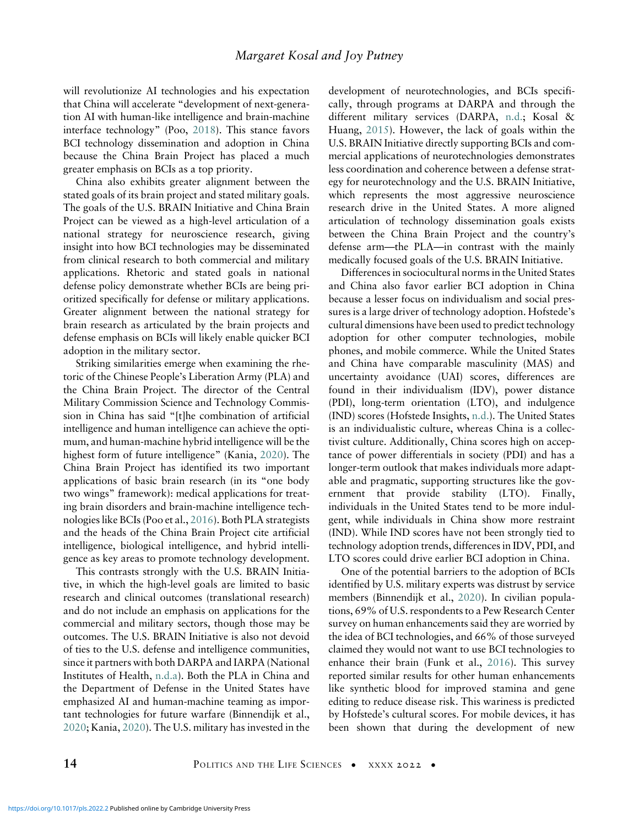will revolutionize AI technologies and his expectation that China will accelerate "development of next-generation AI with human-like intelligence and brain-machine interface technology" (Poo, [2018\)](#page-21-26). This stance favors BCI technology dissemination and adoption in China because the China Brain Project has placed a much greater emphasis on BCIs as a top priority.

China also exhibits greater alignment between the stated goals of its brain project and stated military goals. The goals of the U.S. BRAIN Initiative and China Brain Project can be viewed as a high-level articulation of a national strategy for neuroscience research, giving insight into how BCI technologies may be disseminated from clinical research to both commercial and military applications. Rhetoric and stated goals in national defense policy demonstrate whether BCIs are being prioritized specifically for defense or military applications. Greater alignment between the national strategy for brain research as articulated by the brain projects and defense emphasis on BCIs will likely enable quicker BCI adoption in the military sector.

Striking similarities emerge when examining the rhetoric of the Chinese People's Liberation Army (PLA) and the China Brain Project. The director of the Central Military Commission Science and Technology Commission in China has said "[t]he combination of artificial intelligence and human intelligence can achieve the optimum, and human-machine hybrid intelligence will be the highest form of future intelligence" (Kania, [2020](#page-19-26)). The China Brain Project has identified its two important applications of basic brain research (in its "one body two wings" framework): medical applications for treating brain disorders and brain-machine intelligence technologies like BCIs (Poo et al., [2016](#page-21-1)). Both PLA strategists and the heads of the China Brain Project cite artificial intelligence, biological intelligence, and hybrid intelligence as key areas to promote technology development.

This contrasts strongly with the U.S. BRAIN Initiative, in which the high-level goals are limited to basic research and clinical outcomes (translational research) and do not include an emphasis on applications for the commercial and military sectors, though those may be outcomes. The U.S. BRAIN Initiative is also not devoid of ties to the U.S. defense and intelligence communities, since it partners with both DARPA and IARPA (National Institutes of Health, [n.d.a](#page-20-28)). Both the PLA in China and the Department of Defense in the United States have emphasized AI and human-machine teaming as important technologies for future warfare (Binnendijk et al., [2020;](#page-17-11) Kania, [2020](#page-19-26)). The U.S. military has invested in the development of neurotechnologies, and BCIs specifically, through programs at DARPA and through the different military services (DARPA, [n.d.;](#page-18-30) Kosal & Huang, [2015\)](#page-19-16). However, the lack of goals within the U.S. BRAIN Initiative directly supporting BCIs and commercial applications of neurotechnologies demonstrates less coordination and coherence between a defense strategy for neurotechnology and the U.S. BRAIN Initiative, which represents the most aggressive neuroscience research drive in the United States. A more aligned articulation of technology dissemination goals exists between the China Brain Project and the country's defense arm—the PLA—in contrast with the mainly medically focused goals of the U.S. BRAIN Initiative.

Differences in sociocultural norms in the United States and China also favor earlier BCI adoption in China because a lesser focus on individualism and social pressures is a large driver of technology adoption. Hofstede's cultural dimensions have been used to predict technology adoption for other computer technologies, mobile phones, and mobile commerce. While the United States and China have comparable masculinity (MAS) and uncertainty avoidance (UAI) scores, differences are found in their individualism (IDV), power distance (PDI), long-term orientation (LTO), and indulgence (IND) scores (Hofstede Insights, [n.d.\)](#page-19-27). The United States is an individualistic culture, whereas China is a collectivist culture. Additionally, China scores high on acceptance of power differentials in society (PDI) and has a longer-term outlook that makes individuals more adaptable and pragmatic, supporting structures like the government that provide stability (LTO). Finally, individuals in the United States tend to be more indulgent, while individuals in China show more restraint (IND). While IND scores have not been strongly tied to technology adoption trends, differences in IDV, PDI, and LTO scores could drive earlier BCI adoption in China.

One of the potential barriers to the adoption of BCIs identified by U.S. military experts was distrust by service members (Binnendijk et al., [2020\)](#page-17-11). In civilian populations, 69% of U.S. respondents to a Pew Research Center survey on human enhancements said they are worried by the idea of BCI technologies, and 66% of those surveyed claimed they would not want to use BCI technologies to enhance their brain (Funk et al., [2016](#page-18-31)). This survey reported similar results for other human enhancements like synthetic blood for improved stamina and gene editing to reduce disease risk. This wariness is predicted by Hofstede's cultural scores. For mobile devices, it has been shown that during the development of new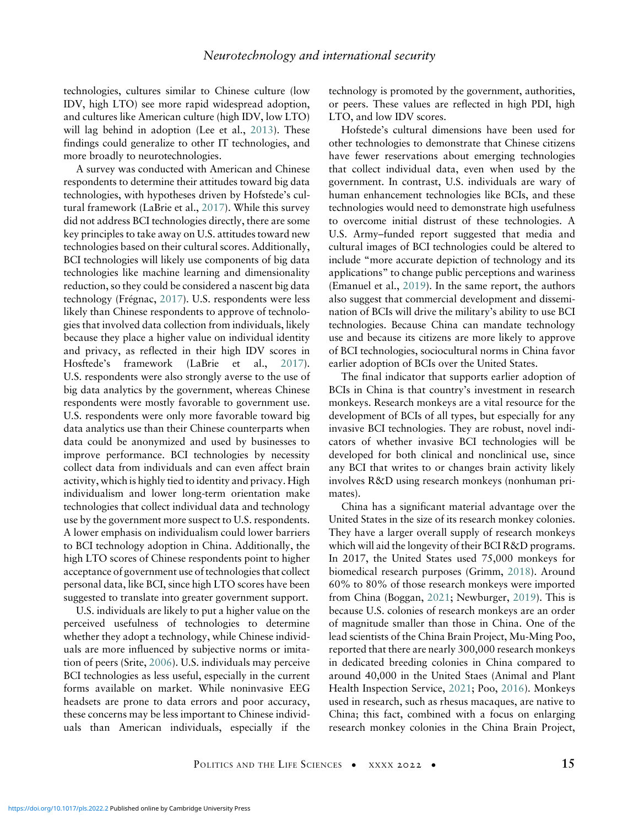technologies, cultures similar to Chinese culture (low IDV, high LTO) see more rapid widespread adoption, and cultures like American culture (high IDV, low LTO) will lag behind in adoption (Lee et al., [2013](#page-20-21)). These findings could generalize to other IT technologies, and more broadly to neurotechnologies.

A survey was conducted with American and Chinese respondents to determine their attitudes toward big data technologies, with hypotheses driven by Hofstede's cultural framework (LaBrie et al., [2017](#page-19-20)). While this survey did not address BCI technologies directly, there are some key principles to take away on U.S. attitudes toward new technologies based on their cultural scores. Additionally, BCI technologies will likely use components of big data technologies like machine learning and dimensionality reduction, so they could be considered a nascent big data technology (Frégnac, [2017](#page-18-32)). U.S. respondents were less likely than Chinese respondents to approve of technologies that involved data collection from individuals, likely because they place a higher value on individual identity and privacy, as reflected in their high IDV scores in Hosftede's framework (LaBrie et al., [2017](#page-19-20)). U.S. respondents were also strongly averse to the use of big data analytics by the government, whereas Chinese respondents were mostly favorable to government use. U.S. respondents were only more favorable toward big data analytics use than their Chinese counterparts when data could be anonymized and used by businesses to improve performance. BCI technologies by necessity collect data from individuals and can even affect brain activity, which is highly tied to identity and privacy. High individualism and lower long-term orientation make technologies that collect individual data and technology use by the government more suspect to U.S. respondents. A lower emphasis on individualism could lower barriers to BCI technology adoption in China. Additionally, the high LTO scores of Chinese respondents point to higher acceptance of government use of technologies that collect personal data, like BCI, since high LTO scores have been suggested to translate into greater government support.

U.S. individuals are likely to put a higher value on the perceived usefulness of technologies to determine whether they adopt a technology, while Chinese individuals are more influenced by subjective norms or imitation of peers (Srite, [2006\)](#page-22-17). U.S. individuals may perceive BCI technologies as less useful, especially in the current forms available on market. While noninvasive EEG headsets are prone to data errors and poor accuracy, these concerns may be less important to Chinese individuals than American individuals, especially if the technology is promoted by the government, authorities, or peers. These values are reflected in high PDI, high LTO, and low IDV scores.

Hofstede's cultural dimensions have been used for other technologies to demonstrate that Chinese citizens have fewer reservations about emerging technologies that collect individual data, even when used by the government. In contrast, U.S. individuals are wary of human enhancement technologies like BCIs, and these technologies would need to demonstrate high usefulness to overcome initial distrust of these technologies. A U.S. Army–funded report suggested that media and cultural images of BCI technologies could be altered to include "more accurate depiction of technology and its applications" to change public perceptions and wariness (Emanuel et al., [2019](#page-18-8)). In the same report, the authors also suggest that commercial development and dissemination of BCIs will drive the military's ability to use BCI technologies. Because China can mandate technology use and because its citizens are more likely to approve of BCI technologies, sociocultural norms in China favor earlier adoption of BCIs over the United States.

The final indicator that supports earlier adoption of BCIs in China is that country's investment in research monkeys. Research monkeys are a vital resource for the development of BCIs of all types, but especially for any invasive BCI technologies. They are robust, novel indicators of whether invasive BCI technologies will be developed for both clinical and nonclinical use, since any BCI that writes to or changes brain activity likely involves R&D using research monkeys (nonhuman primates).

China has a significant material advantage over the United States in the size of its research monkey colonies. They have a larger overall supply of research monkeys which will aid the longevity of their BCI R&D programs. In 2017, the United States used 75,000 monkeys for biomedical research purposes (Grimm, [2018\)](#page-19-28). Around 60% to 80% of those research monkeys were imported from China (Boggan, [2021;](#page-17-25) Newburger, [2019\)](#page-20-29). This is because U.S. colonies of research monkeys are an order of magnitude smaller than those in China. One of the lead scientists of the China Brain Project, Mu-Ming Poo, reported that there are nearly 300,000 research monkeys in dedicated breeding colonies in China compared to around 40,000 in the United Staes (Animal and Plant Health Inspection Service, [2021](#page-17-7); Poo, [2016\)](#page-21-23). Monkeys used in research, such as rhesus macaques, are native to China; this fact, combined with a focus on enlarging research monkey colonies in the China Brain Project,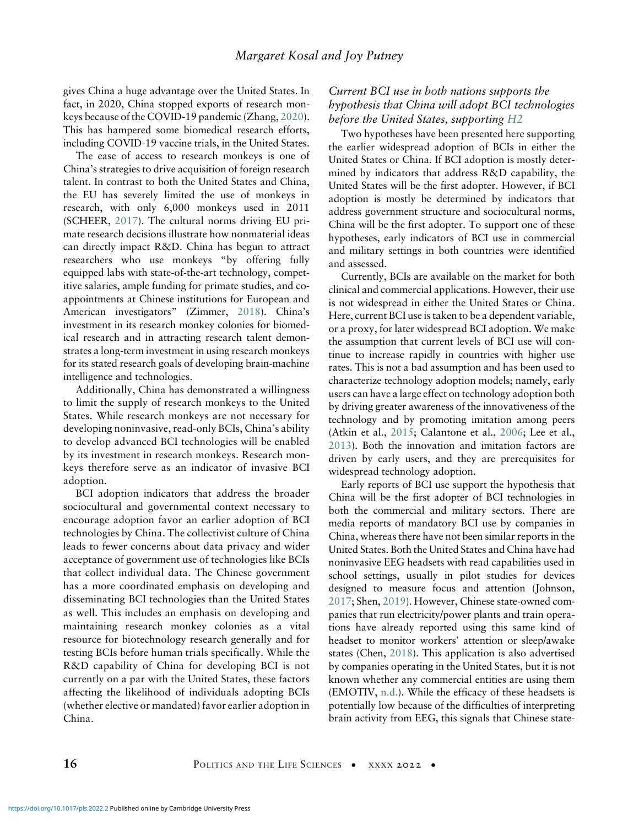gives China a huge advantage over the United States. In fact, in 2020, China stopped exports of research monkeys because of the COVID-19 pandemic (Zhang, [2020\)](#page-22-20). This has hampered some biomedical research efforts, including COVID-19 vaccine trials, in the United States.

The ease of access to research monkeys is one of China's strategies to drive acquisition of foreign research talent. In contrast to both the United States and China, the EU has severely limited the use of monkeys in research, with only 6,000 monkeys used in 2011 (SCHEER, [2017](#page-21-27)). The cultural norms driving EU primate research decisions illustrate how nonmaterial ideas can directly impact R&D. China has begun to attract researchers who use monkeys "by offering fully equipped labs with state-of-the-art technology, competitive salaries, ample funding for primate studies, and coappointments at Chinese institutions for European and American investigators" (Zimmer, [2018\)](#page-22-21). China's investment in its research monkey colonies for biomedical research and in attracting research talent demonstrates a long-term investment in using research monkeys for its stated research goals of developing brain-machine intelligence and technologies.

Additionally, China has demonstrated a willingness to limit the supply of research monkeys to the United States. While research monkeys are not necessary for developing noninvasive, read-only BCIs, China's ability to develop advanced BCI technologies will be enabled by its investment in research monkeys. Research monkeys therefore serve as an indicator of invasive BCI adoption.

BCI adoption indicators that address the broader sociocultural and governmental context necessary to encourage adoption favor an earlier adoption of BCI technologies by China. The collectivist culture of China leads to fewer concerns about data privacy and wider acceptance of government use of technologies like BCIs that collect individual data. The Chinese government has a more coordinated emphasis on developing and disseminating BCI technologies than the United States as well. This includes an emphasis on developing and maintaining research monkey colonies as a vital resource for biotechnology research generally and for testing BCIs before human trials specifically. While the R&D capability of China for developing BCI is not currently on a par with the United States, these factors affecting the likelihood of individuals adopting BCIs (whether elective or mandated) favor earlier adoption in China.

# Current BCI use in both nations supports the hypothesis that China will adopt BCI technologies before the United States, supporting H2

Two hypotheses have been presented here supporting the earlier widespread adoption of BCIs in either the United States or China. If BCI adoption is mostly determined by indicators that address R&D capability, the United States will be the first adopter. However, if BCI adoption is mostly be determined by indicators that address government structure and sociocultural norms, China will be the first adopter. To support one of these hypotheses, early indicators of BCI use in commercial and military settings in both countries were identified and assessed.

Currently, BCIs are available on the market for both clinical and commercial applications. However, their use is not widespread in either the United States or China. Here, current BCI use is taken to be a dependent variable, or a proxy, for later widespread BCI adoption. We make the assumption that current levels of BCI use will continue to increase rapidly in countries with higher use rates. This is not a bad assumption and has been used to characterize technology adoption models; namely, early users can have a large effect on technology adoption both by driving greater awareness of the innovativeness of the technology and by promoting imitation among peers (Atkin et al., [2015;](#page-17-26) Calantone et al., [2006](#page-17-27); Lee et al., [2013\)](#page-20-21). Both the innovation and imitation factors are driven by early users, and they are prerequisites for widespread technology adoption.

Early reports of BCI use support the hypothesis that China will be the first adopter of BCI technologies in both the commercial and military sectors. There are media reports of mandatory BCI use by companies in China, whereas there have not been similar reports in the United States. Both the United States and China have had noninvasive EEG headsets with read capabilities used in school settings, usually in pilot studies for devices designed to measure focus and attention (Johnson, [2017;](#page-19-29) Shen, [2019\)](#page-22-19). However, Chinese state-owned companies that run electricity/power plants and train operations have already reported using this same kind of headset to monitor workers' attention or sleep/awake states (Chen, [2018](#page-17-28)). This application is also advertised by companies operating in the United States, but it is not known whether any commercial entities are using them (EMOTIV, [n.d.](#page-18-18)). While the efficacy of these headsets is potentially low because of the difficulties of interpreting brain activity from EEG, this signals that Chinese state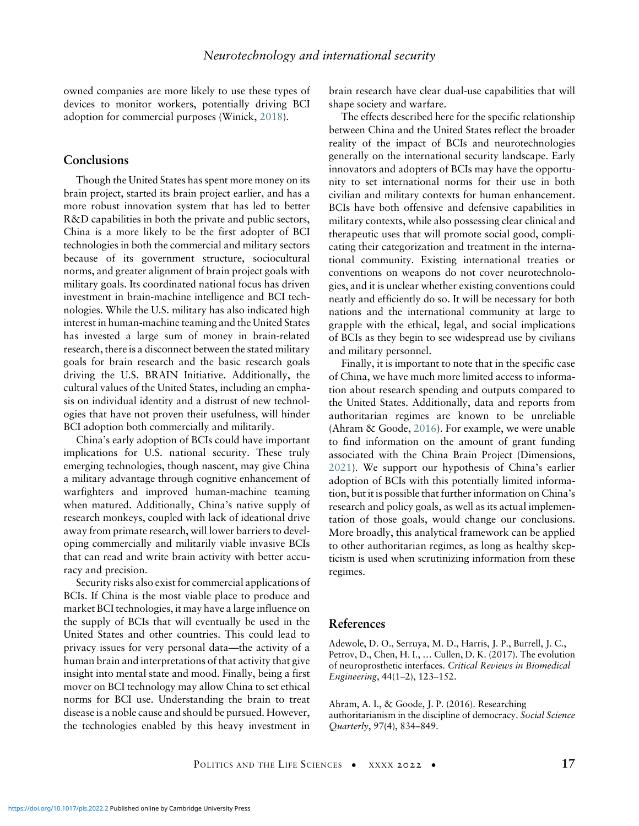owned companies are more likely to use these types of devices to monitor workers, potentially driving BCI adoption for commercial purposes (Winick, [2018](#page-22-22)).

# **Conclusions**

Though the United States has spent more money on its brain project, started its brain project earlier, and has a more robust innovation system that has led to better R&D capabilities in both the private and public sectors, China is a more likely to be the first adopter of BCI technologies in both the commercial and military sectors because of its government structure, sociocultural norms, and greater alignment of brain project goals with military goals. Its coordinated national focus has driven investment in brain-machine intelligence and BCI technologies. While the U.S. military has also indicated high interest in human-machine teaming and the United States has invested a large sum of money in brain-related research, there is a disconnect between the stated military goals for brain research and the basic research goals driving the U.S. BRAIN Initiative. Additionally, the cultural values of the United States, including an emphasis on individual identity and a distrust of new technologies that have not proven their usefulness, will hinder BCI adoption both commercially and militarily.

China's early adoption of BCIs could have important implications for U.S. national security. These truly emerging technologies, though nascent, may give China a military advantage through cognitive enhancement of warfighters and improved human-machine teaming when matured. Additionally, China's native supply of research monkeys, coupled with lack of ideational drive away from primate research, will lower barriers to developing commercially and militarily viable invasive BCIs that can read and write brain activity with better accuracy and precision.

<span id="page-16-1"></span><span id="page-16-0"></span>Security risks also exist for commercial applications of BCIs. If China is the most viable place to produce and market BCI technologies, it may have a large influence on the supply of BCIs that will eventually be used in the United States and other countries. This could lead to privacy issues for very personal data—the activity of a human brain and interpretations of that activity that give insight into mental state and mood. Finally, being a first mover on BCI technology may allow China to set ethical norms for BCI use. Understanding the brain to treat disease is a noble cause and should be pursued. However, the technologies enabled by this heavy investment in brain research have clear dual-use capabilities that will shape society and warfare.

The effects described here for the specific relationship between China and the United States reflect the broader reality of the impact of BCIs and neurotechnologies generally on the international security landscape. Early innovators and adopters of BCIs may have the opportunity to set international norms for their use in both civilian and military contexts for human enhancement. BCIs have both offensive and defensive capabilities in military contexts, while also possessing clear clinical and therapeutic uses that will promote social good, complicating their categorization and treatment in the international community. Existing international treaties or conventions on weapons do not cover neurotechnologies, and it is unclear whether existing conventions could neatly and efficiently do so. It will be necessary for both nations and the international community at large to grapple with the ethical, legal, and social implications of BCIs as they begin to see widespread use by civilians and military personnel.

Finally, it is important to note that in the specific case of China, we have much more limited access to information about research spending and outputs compared to the United States. Additionally, data and reports from authoritarian regimes are known to be unreliable (Ahram & Goode, [2016\)](#page-16-1). For example, we were unable to find information on the amount of grant funding associated with the China Brain Project (Dimensions, [2021](#page-18-22)). We support our hypothesis of China's earlier adoption of BCIs with this potentially limited information, but it is possible that further information on China's research and policy goals, as well as its actual implementation of those goals, would change our conclusions. More broadly, this analytical framework can be applied to other authoritarian regimes, as long as healthy skepticism is used when scrutinizing information from these regimes.

#### References

Adewole, D. O., Serruya, M. D., Harris, J. P., Burrell, J. C., Petrov, D., Chen, H. I., … Cullen, D. K. (2017). The evolution of neuroprosthetic interfaces. Critical Reviews in Biomedical Engineering, 44(1–2), 123–152.

Ahram, A. I., & Goode, J. P. (2016). Researching authoritarianism in the discipline of democracy. Social Science Quarterly, 97(4), 834–849.

POLITICS AND THE LIFE SCIENCES • XXXX 2022 • 17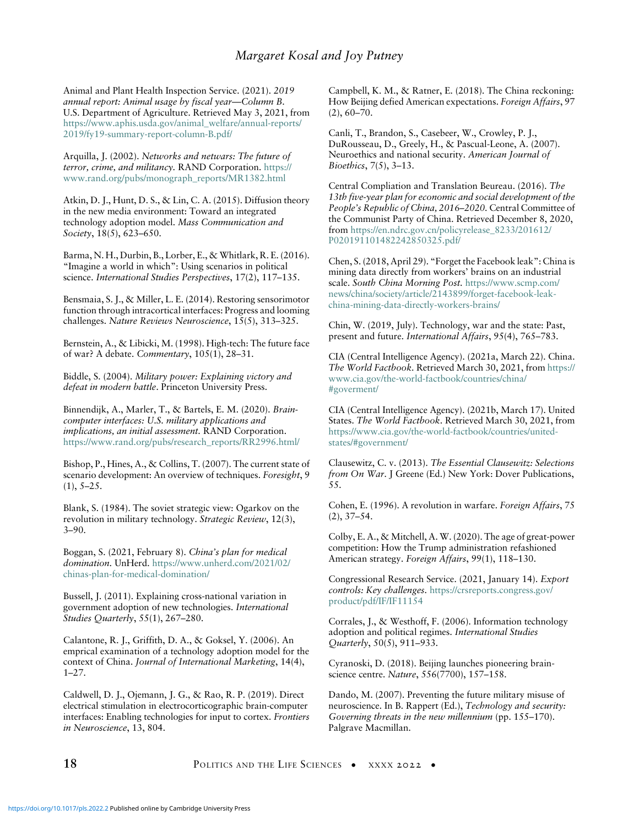<span id="page-17-7"></span>Animal and Plant Health Inspection Service. (2021). 2019 annual report: Animal usage by fiscal year—Column B. U.S. Department of Agriculture. Retrieved May 3, 2021, from [https://www.aphis.usda.gov/animal\\_welfare/annual-reports/](https://www.aphis.usda.gov/animal_welfare/annual-reports/2019/fy19-summary-report-column-B.pdf/) [2019/fy19-summary-report-column-B.pdf/](https://www.aphis.usda.gov/animal_welfare/annual-reports/2019/fy19-summary-report-column-B.pdf/)

<span id="page-17-10"></span><span id="page-17-0"></span>Arquilla, J. (2002). Networks and netwars: The future of terror, crime, and militancy. RAND Corporation. [https://](https://www.rand.org/pubs/monograph_reports/MR1382.html) [www.rand.org/pubs/monograph\\_reports/MR1382.html](https://www.rand.org/pubs/monograph_reports/MR1382.html)

<span id="page-17-26"></span><span id="page-17-24"></span>Atkin, D. J., Hunt, D. S., & Lin, C. A. (2015). Diffusion theory in the new media environment: Toward an integrated technology adoption model. Mass Communication and Society, 18(5), 623-650.

<span id="page-17-28"></span><span id="page-17-15"></span>Barma, N. H., Durbin, B., Lorber, E., & Whitlark, R. E. (2016). "Imagine a world in which": Using scenarios in political science. International Studies Perspectives, 17(2), 117–135.

<span id="page-17-13"></span><span id="page-17-2"></span>Bensmaia, S. J., & Miller, L. E. (2014). Restoring sensorimotor function through intracortical interfaces: Progress and looming challenges. Nature Reviews Neuroscience, 15(5), 313–325.

<span id="page-17-3"></span><span id="page-17-1"></span>Bernstein, A., & Libicki, M. (1998). High-tech: The future face of war? A debate. Commentary, 105(1), 28–31.

<span id="page-17-11"></span>Biddle, S. (2004). Military power: Explaining victory and defeat in modern battle. Princeton University Press.

Binnendijk, A., Marler, T., & Bartels, E. M. (2020). Braincomputer interfaces: U.S. military applications and implications, an initial assessment. RAND Corporation. [https://www.rand.org/pubs/research\\_reports/RR2996.html/](https://www.rand.org/pubs/research_reports/RR2996.html/)

<span id="page-17-16"></span><span id="page-17-6"></span><span id="page-17-4"></span>Bishop, P., Hines, A., & Collins, T. (2007). The current state of scenario development: An overview of techniques. Foresight, 9  $(1), 5-25.$ 

<span id="page-17-25"></span><span id="page-17-8"></span><span id="page-17-5"></span>Blank, S. (1984). The soviet strategic view: Ogarkov on the revolution in military technology. Strategic Review, 12(3), 3–90.

<span id="page-17-17"></span><span id="page-17-9"></span>Boggan, S. (2021, February 8). China's plan for medical domination. UnHerd. [https://www.unherd.com/2021/02/](https://www.unherd.com/2021/02/chinas-plan-for-medical-domination/) [chinas-plan-for-medical-domination/](https://www.unherd.com/2021/02/chinas-plan-for-medical-domination/)

<span id="page-17-27"></span><span id="page-17-18"></span>Bussell, J. (2011). Explaining cross-national variation in government adoption of new technologies. International Studies Quarterly, 55(1), 267–280.

<span id="page-17-19"></span><span id="page-17-14"></span>Calantone, R. J., Griffith, D. A., & Goksel, Y. (2006). An emprical examination of a technology adoption model for the context of China. Journal of International Marketing, 14(4), 1–27.

<span id="page-17-12"></span>Caldwell, D. J., Ojemann, J. G., & Rao, R. P. (2019). Direct electrical stimulation in electrocorticographic brain-computer interfaces: Enabling technologies for input to cortex. Frontiers in Neuroscience, 13, 804.

<span id="page-17-23"></span><span id="page-17-22"></span><span id="page-17-21"></span><span id="page-17-20"></span>Campbell, K. M., & Ratner, E. (2018). The China reckoning: How Beijing defied American expectations. Foreign Affairs, 97  $(2), 60-70.$ 

Canli, T., Brandon, S., Casebeer, W., Crowley, P. J., DuRousseau, D., Greely, H., & Pascual-Leone, A. (2007). Neuroethics and national security. American Journal of Bioethics, 7(5), 3–13.

Central Compliation and Translation Beureau. (2016). The 13th five-year plan for economic and social development of the People's Republic of China, 2016–2020. Central Committee of the Communist Party of China. Retrieved December 8, 2020, from [https://en.ndrc.gov.cn/policyrelease\\_8233/201612/](https://en.ndrc.gov.cn/policyrelease_8233/201612/P020191101482242850325.pdf/) [P020191101482242850325.pdf/](https://en.ndrc.gov.cn/policyrelease_8233/201612/P020191101482242850325.pdf/)

Chen, S. (2018, April 29). "Forget the Facebook leak": China is mining data directly from workers' brains on an industrial scale. South China Morning Post. [https://www.scmp.com/](https://www.scmp.com/news/china/society/article/2143899/forget-facebook-leak-china-mining-data-directly-workers-brains/) [news/china/society/article/2143899/forget-facebook-leak](https://www.scmp.com/news/china/society/article/2143899/forget-facebook-leak-china-mining-data-directly-workers-brains/)[china-mining-data-directly-workers-brains/](https://www.scmp.com/news/china/society/article/2143899/forget-facebook-leak-china-mining-data-directly-workers-brains/)

Chin, W. (2019, July). Technology, war and the state: Past, present and future. International Affairs, 95(4), 765–783.

CIA (Central Intelligence Agency). (2021a, March 22). China. The World Factbook. Retrieved March 30, 2021, from [https://](https://www.cia.gov/the-world-factbook/countries/china/#goverment/) [www.cia.gov/the-world-factbook/countries/china/](https://www.cia.gov/the-world-factbook/countries/china/#goverment/) [#goverment/](https://www.cia.gov/the-world-factbook/countries/china/#goverment/)

CIA (Central Intelligence Agency). (2021b, March 17). United States. The World Factbook. Retrieved March 30, 2021, from [https://www.cia.gov/the-world-factbook/countries/united](https://www.cia.gov/the-world-factbook/countries/united-states/#government/)[states/#government/](https://www.cia.gov/the-world-factbook/countries/united-states/#government/)

Clausewitz, C. v. (2013). The Essential Clausewitz: Selections from On War. J Greene (Ed.) New York: Dover Publications, 55.

Cohen, E. (1996). A revolution in warfare. Foreign Affairs, 75 (2), 37–54.

Colby, E. A., & Mitchell, A. W. (2020). The age of great-power competition: How the Trump administration refashioned American strategy. Foreign Affairs, 99(1), 118–130.

Congressional Research Service. (2021, January 14). Export controls: Key challenges. [https://crsreports.congress.gov/](https://crsreports.congress.gov/product/pdf/IF/IF11154) [product/pdf/IF/IF11154](https://crsreports.congress.gov/product/pdf/IF/IF11154)

Corrales, J., & Westhoff, F. (2006). Information technology adoption and political regimes. International Studies Quarterly, 50(5), 911–933.

Cyranoski, D. (2018). Beijing launches pioneering brainscience centre. Nature, 556(7700), 157–158.

Dando, M. (2007). Preventing the future military misuse of neuroscience. In B. Rappert (Ed.), Technology and security: Governing threats in the new millennium (pp. 155–170). Palgrave Macmillan.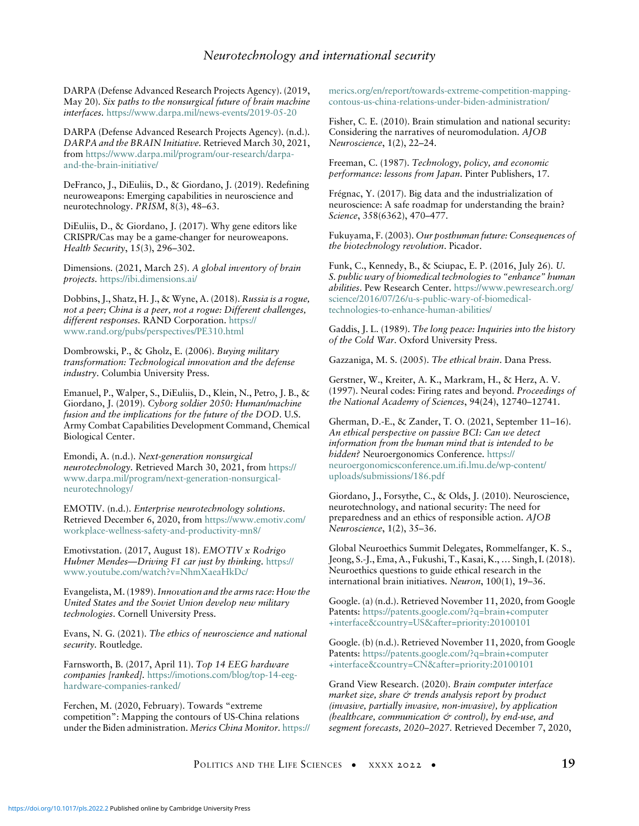# <span id="page-18-27"></span><span id="page-18-25"></span><span id="page-18-24"></span>Neurotechnology and international security

<span id="page-18-16"></span>DARPA (Defense Advanced Research Projects Agency). (2019, May 20). Six paths to the nonsurgical future of brain machine interfaces. <https://www.darpa.mil/news-events/2019-05-20>

<span id="page-18-30"></span><span id="page-18-19"></span>DARPA (Defense Advanced Research Projects Agency). (n.d.). DARPA and the BRAIN Initiative. Retrieved March 30, 2021, from [https://www.darpa.mil/program/our-research/darpa](https://www.darpa.mil/program/our-research/darpa-and-the-brain-initiative/)[and-the-brain-initiative/](https://www.darpa.mil/program/our-research/darpa-and-the-brain-initiative/)

<span id="page-18-32"></span><span id="page-18-21"></span><span id="page-18-13"></span>DeFranco, J., DiEuliis, D., & Giordano, J. (2019). Redefining neuroweapons: Emerging capabilities in neuroscience and neurotechnology. PRISM, 8(3), 48–63.

<span id="page-18-14"></span><span id="page-18-9"></span>DiEuliis, D., & Giordano, J. (2017). Why gene editors like CRISPR/Cas may be a game-changer for neuroweapons. Health Security, 15(3), 296–302.

<span id="page-18-31"></span><span id="page-18-22"></span>Dimensions. (2021, March 25). A global inventory of brain projects. <https://ibi.dimensions.ai/>

<span id="page-18-2"></span>Dobbins, J., Shatz, H. J., & Wyne, A. (2018). Russia is a rogue, not a peer; China is a peer, not a rogue: Different challenges, different responses. RAND Corporation. [https://](https://www.rand.org/pubs/perspectives/PE310.html) [www.rand.org/pubs/perspectives/PE310.html](https://www.rand.org/pubs/perspectives/PE310.html)

<span id="page-18-10"></span><span id="page-18-1"></span><span id="page-18-0"></span>Dombrowski, P., & Gholz, E. (2006). Buying military transformation: Technological innovation and the defense industry. Columbia University Press.

<span id="page-18-20"></span><span id="page-18-15"></span><span id="page-18-8"></span>Emanuel, P., Walper, S., DiEuliis, D., Klein, N., Petro, J. B., & Giordano, J. (2019). Cyborg soldier 2050: Human/machine fusion and the implications for the future of the DOD. U.S. Army Combat Capabilities Development Command, Chemical Biological Center.

<span id="page-18-5"></span>Emondi, A. (n.d.). Next-generation nonsurgical neurotechnology. Retrieved March 30, 2021, from [https://](https://www.darpa.mil/program/next-generation-nonsurgical-neurotechnology/) [www.darpa.mil/program/next-generation-nonsurgical](https://www.darpa.mil/program/next-generation-nonsurgical-neurotechnology/)[neurotechnology/](https://www.darpa.mil/program/next-generation-nonsurgical-neurotechnology/)

<span id="page-18-18"></span><span id="page-18-12"></span>EMOTIV. (n.d.). Enterprise neurotechnology solutions. Retrieved December 6, 2020, from [https://www.emotiv.com/](https://www.emotiv.com/workplace-wellness-safety-and-productivity-mn8/) [workplace-wellness-safety-and-productivity-mn8/](https://www.emotiv.com/workplace-wellness-safety-and-productivity-mn8/)

<span id="page-18-17"></span><span id="page-18-7"></span>Emotivstation. (2017, August 18). EMOTIV x Rodrigo Hubner Mendes-Driving F1 car just by thinking. [https://](https://www.youtube.com/watch?v=NhmXaeaHkDc/) [www.youtube.com/watch?v=NhmXaeaHkDc/](https://www.youtube.com/watch?v=NhmXaeaHkDc/)

<span id="page-18-28"></span><span id="page-18-4"></span>Evangelista, M. (1989).Innovation and the arms race: How the United States and the Soviet Union develop new military technologies. Cornell University Press.

<span id="page-18-29"></span><span id="page-18-11"></span>Evans, N. G. (2021). The ethics of neuroscience and national security. Routledge.

<span id="page-18-23"></span><span id="page-18-6"></span>Farnsworth, B. (2017, April 11). Top 14 EEG hardware companies [ranked]. [https://imotions.com/blog/top-14-eeg](https://imotions.com/blog/top-14-eeg-hardware-companies-ranked/)[hardware-companies-ranked/](https://imotions.com/blog/top-14-eeg-hardware-companies-ranked/)

<span id="page-18-3"></span>Ferchen, M. (2020, February). Towards "extreme competition": Mapping the contours of US-China relations under the Biden administration. Merics China Monitor. [https://](https://merics.org/en/report/towards-extreme-competition-mapping-contous-us-china-relations-under-biden-administration/) <span id="page-18-26"></span>[merics.org/en/report/towards-extreme-competition-mapping](https://merics.org/en/report/towards-extreme-competition-mapping-contous-us-china-relations-under-biden-administration/)[contous-us-china-relations-under-biden-administration/](https://merics.org/en/report/towards-extreme-competition-mapping-contous-us-china-relations-under-biden-administration/)

Fisher, C. E. (2010). Brain stimulation and national security: Considering the narratives of neuromodulation. AJOB Neuroscience, 1(2), 22–24.

Freeman, C. (1987). Technology, policy, and economic performance: lessons from Japan. Pinter Publishers, 17.

Frégnac, Y. (2017). Big data and the industrialization of neuroscience: A safe roadmap for understanding the brain? Science, 358(6362), 470–477.

Fukuyama, F. (2003). Our posthuman future: Consequences of the biotechnology revolution. Picador.

Funk, C., Kennedy, B., & Sciupac, E. P. (2016, July 26). U. S. public wary of biomedical technologies to "enhance" human abilities. Pew Research Center. [https://www.pewresearch.org/](https://www.pewresearch.org/science/2016/07/26/u-s-public-wary-of-biomedical-technologies-to-enhance-human-abilities/) [science/2016/07/26/u-s-public-wary-of-biomedical](https://www.pewresearch.org/science/2016/07/26/u-s-public-wary-of-biomedical-technologies-to-enhance-human-abilities/)[technologies-to-enhance-human-abilities/](https://www.pewresearch.org/science/2016/07/26/u-s-public-wary-of-biomedical-technologies-to-enhance-human-abilities/)

Gaddis, J. L. (1989). The long peace: Inquiries into the history of the Cold War. Oxford University Press.

Gazzaniga, M. S. (2005). The ethical brain. Dana Press.

Gerstner, W., Kreiter, A. K., Markram, H., & Herz, A. V. (1997). Neural codes: Firing rates and beyond. Proceedings of the National Academy of Sciences, 94(24), 12740–12741.

Gherman, D.-E., & Zander, T. O. (2021, September 11–16). An ethical perspective on passive BCI: Can we detect information from the human mind that is intended to be hidden? Neuroergonomics Conference. [https://](https://neuroergonomicsconference.um.ifi.lmu.de/wp-content/uploads/submissions/186.pdf) [neuroergonomicsconference.um.ifi.lmu.de/wp-content/](https://neuroergonomicsconference.um.ifi.lmu.de/wp-content/uploads/submissions/186.pdf) [uploads/submissions/186.pdf](https://neuroergonomicsconference.um.ifi.lmu.de/wp-content/uploads/submissions/186.pdf)

Giordano, J., Forsythe, C., & Olds, J. (2010). Neuroscience, neurotechnology, and national security: The need for preparedness and an ethics of responsible action. AJOB Neuroscience, 1(2), 35–36.

Global Neuroethics Summit Delegates, Rommelfanger, K. S., Jeong, S.-J., Ema, A., Fukushi, T., Kasai, K., … Singh, I. (2018). Neuroethics questions to guide ethical research in the international brain initiatives. Neuron, 100(1), 19–36.

Google. (a) (n.d.). Retrieved November 11, 2020, from Google Patents: [https://patents.google.com/?q=brain+computer](https://patents.google.com/?q=brain+computer+interfacecountry=USafter=priority:20100101) [+interface&country=US&after=priority:20100101](https://patents.google.com/?q=brain+computer+interfacecountry=USafter=priority:20100101)

Google. (b) (n.d.). Retrieved November 11, 2020, from Google Patents: [https://patents.google.com/?q=brain+computer](https://patents.google.com/?q=brain+computer+interfacecountry=CNafter=priority:20100101) [+interface&country=CN&after=priority:20100101](https://patents.google.com/?q=brain+computer+interfacecountry=CNafter=priority:20100101)

Grand View Research. (2020). Brain computer interface market size, share  $\circ$  trends analysis report by product (invasive, partially invasive, non-invasive), by application (healthcare, communication  $\circlearrowleft$  control), by end-use, and segment forecasts, 2020–2027. Retrieved December 7, 2020,

POLITICS AND THE LIFE SCIENCES • XXXX 2022 • 19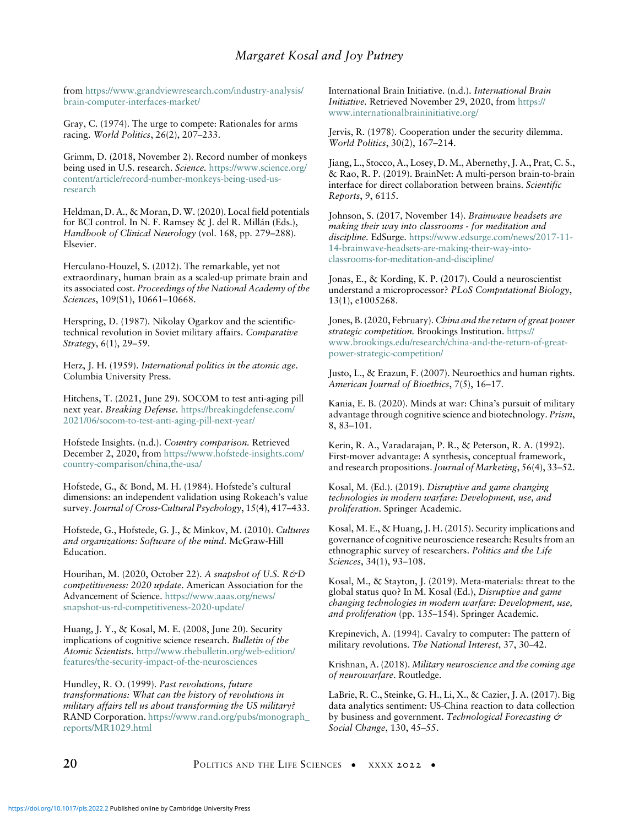# Margaret Kosal and Joy Putney

<span id="page-19-1"></span>from [https://www.grandviewresearch.com/industry-analysis/](https://www.grandviewresearch.com/industry-analysis/brain-computer-interfaces-market/) [brain-computer-interfaces-market/](https://www.grandviewresearch.com/industry-analysis/brain-computer-interfaces-market/)

<span id="page-19-10"></span><span id="page-19-6"></span>Gray, C. (1974). The urge to compete: Rationales for arms racing. World Politics, 26(2), 207–233.

<span id="page-19-28"></span><span id="page-19-19"></span>Grimm, D. (2018, November 2). Record number of monkeys being used in U.S. research. Science. [https://www.science.org/](https://www.science.org/content/article/record-number-monkeys-being-used-us-research) [content/article/record-number-monkeys-being-used-us](https://www.science.org/content/article/record-number-monkeys-being-used-us-research)[research](https://www.science.org/content/article/record-number-monkeys-being-used-us-research)

<span id="page-19-29"></span><span id="page-19-18"></span>Heldman, D. A., & Moran, D. W. (2020). Local field potentials for BCI control. In N. F. Ramsey & J. del R. Millán (Eds.), Handbook of Clinical Neurology (vol. 168, pp. 279–288). Elsevier.

<span id="page-19-17"></span><span id="page-19-0"></span>Herculano-Houzel, S. (2012). The remarkable, yet not extraordinary, human brain as a scaled-up primate brain and its associated cost. Proceedings of the National Academy of the Sciences, 109(S1), 10661–10668.

<span id="page-19-8"></span><span id="page-19-4"></span>Herspring, D. (1987). Nikolay Ogarkov and the scientifictechnical revolution in Soviet military affairs. Comparative Strategy, 6(1), 29–59.

<span id="page-19-14"></span><span id="page-19-12"></span><span id="page-19-2"></span>Herz, J. H. (1959). International politics in the atomic age. Columbia University Press.

<span id="page-19-27"></span><span id="page-19-26"></span>Hitchens, T. (2021, June 29). SOCOM to test anti-aging pill next year. Breaking Defense. [https://breakingdefense.com/](https://breakingdefense.com/2021/06/socom-to-test-anti-aging-pill-next-year/) [2021/06/socom-to-test-anti-aging-pill-next-year/](https://breakingdefense.com/2021/06/socom-to-test-anti-aging-pill-next-year/)

<span id="page-19-21"></span><span id="page-19-9"></span>Hofstede Insights. (n.d.). Country comparison. Retrieved December 2, 2020, from [https://www.hofstede-insights.com/](https://www.hofstede-insights.com/country-comparison/china,the-usa/) [country-comparison/china,the-usa/](https://www.hofstede-insights.com/country-comparison/china,the-usa/)

<span id="page-19-22"></span><span id="page-19-3"></span>Hofstede, G., & Bond, M. H. (1984). Hofstede's cultural dimensions: an independent validation using Rokeach's value survey.Journal of Cross-Cultural Psychology, 15(4), 417–433.

<span id="page-19-25"></span><span id="page-19-16"></span>Hofstede, G., Hofstede, G. J., & Minkov, M. (2010). Cultures and organizations: Software of the mind. McGraw-Hill Education.

<span id="page-19-15"></span><span id="page-19-7"></span>Hourihan, M. (2020, October 22). A snapshot of U.S. R&D competitiveness: 2020 update. American Association for the Advancement of Science. [https://www.aaas.org/news/](https://www.aaas.org/news/snapshot-us-rd-competitiveness-2020-update/) [snapshot-us-rd-competitiveness-2020-update/](https://www.aaas.org/news/snapshot-us-rd-competitiveness-2020-update/)

<span id="page-19-11"></span><span id="page-19-5"></span>Huang, J. Y., & Kosal, M. E. (2008, June 20). Security implications of cognitive science research. Bulletin of the Atomic Scientists. [http://www.thebulletin.org/web-edition/](http://www.thebulletin.org/web-edition/features/the-security-impact-of-the-neurosciences) [features/the-security-impact-of-the-neurosciences](http://www.thebulletin.org/web-edition/features/the-security-impact-of-the-neurosciences)

<span id="page-19-20"></span><span id="page-19-13"></span>Hundley, R. O. (1999). Past revolutions, future transformations: What can the history of revolutions in military affairs tell us about transforming the US military? RAND Corporation. [https://www.rand.org/pubs/monograph\\_](https://www.rand.org/pubs/monograph_reports/MR1029.html) [reports/MR1029.html](https://www.rand.org/pubs/monograph_reports/MR1029.html)

<span id="page-19-24"></span><span id="page-19-23"></span>International Brain Initiative. (n.d.). International Brain Initiative. Retrieved November 29, 2020, from [https://](https://www.internationalbraininitiative.org/) [www.internationalbraininitiative.org/](https://www.internationalbraininitiative.org/)

Jervis, R. (1978). Cooperation under the security dilemma. World Politics, 30(2), 167–214.

Jiang, L., Stocco, A., Losey, D. M., Abernethy, J. A., Prat, C. S., & Rao, R. P. (2019). BrainNet: A multi-person brain-to-brain interface for direct collaboration between brains. Scientific Reports, 9, 6115.

Johnson, S. (2017, November 14). Brainwave headsets are making their way into classrooms - for meditation and discipline. EdSurge. [https://www.edsurge.com/news/2017-11-](https://www.edsurge.com/news/2017-11-14-brainwave-headsets-are-making-their-way-into-classrooms-for-meditation-and-discipline/) [14-brainwave-headsets-are-making-their-way-into](https://www.edsurge.com/news/2017-11-14-brainwave-headsets-are-making-their-way-into-classrooms-for-meditation-and-discipline/)[classrooms-for-meditation-and-discipline/](https://www.edsurge.com/news/2017-11-14-brainwave-headsets-are-making-their-way-into-classrooms-for-meditation-and-discipline/)

Jonas, E., & Kording, K. P. (2017). Could a neuroscientist understand a microprocessor? PLoS Computational Biology, 13(1), e1005268.

Jones, B. (2020, February). China and the return of great power strategic competition. Brookings Institution. [https://](https://www.brookings.edu/research/china-and-the-return-of-great-power-strategic-competition/) [www.brookings.edu/research/china-and-the-return-of-great](https://www.brookings.edu/research/china-and-the-return-of-great-power-strategic-competition/)[power-strategic-competition/](https://www.brookings.edu/research/china-and-the-return-of-great-power-strategic-competition/)

Justo, L., & Erazun, F. (2007). Neuroethics and human rights. American Journal of Bioethics, 7(5), 16–17.

Kania, E. B. (2020). Minds at war: China's pursuit of military advantage through cognitive science and biotechnology. Prism, 8, 83–101.

Kerin, R. A., Varadarajan, P. R., & Peterson, R. A. (1992). First-mover advantage: A synthesis, conceptual framework, and research propositions. Journal of Marketing, 56(4), 33–52.

Kosal, M. (Ed.). (2019). Disruptive and game changing technologies in modern warfare: Development, use, and proliferation. Springer Academic.

Kosal, M. E., & Huang, J. H. (2015). Security implications and governance of cognitive neuroscience research: Results from an ethnographic survey of researchers. Politics and the Life Sciences, 34(1), 93–108.

Kosal, M., & Stayton, J. (2019). Meta-materials: threat to the global status quo? In M. Kosal (Ed.), Disruptive and game changing technologies in modern warfare: Development, use, and proliferation (pp. 135–154). Springer Academic.

Krepinevich, A. (1994). Cavalry to computer: The pattern of military revolutions. The National Interest, 37, 30–42.

Krishnan, A. (2018). Military neuroscience and the coming age of neurowarfare. Routledge.

LaBrie, R. C., Steinke, G. H., Li, X., & Cazier, J. A. (2017). Big data analytics sentiment: US-China reaction to data collection by business and government. Technological Forecasting & Social Change, 130, 45–55.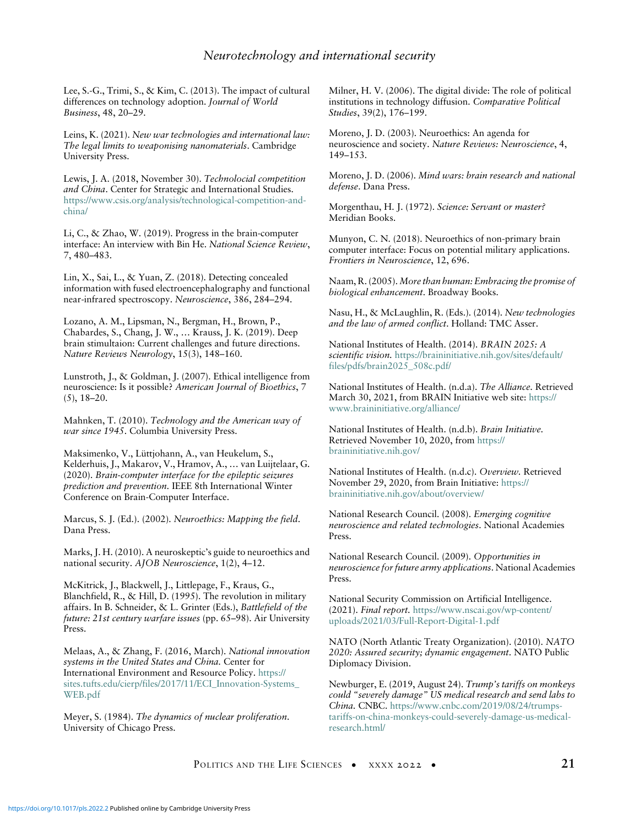# <span id="page-20-27"></span><span id="page-20-25"></span>Neurotechnology and international security

<span id="page-20-21"></span>Lee, S.-G., Trimi, S., & Kim, C. (2013). The impact of cultural differences on technology adoption. Journal of World Business, 48, 20–29.

<span id="page-20-9"></span>Leins, K. (2021). New war technologies and international law: The legal limits to weaponising nanomaterials. Cambridge University Press.

<span id="page-20-11"></span><span id="page-20-5"></span>Lewis, J. A. (2018, November 30). Technolocial competition and China. Center for Strategic and International Studies. [https://www.csis.org/analysis/technological-competition-and](https://www.csis.org/analysis/technological-competition-and-china/)[china/](https://www.csis.org/analysis/technological-competition-and-china/)

<span id="page-20-23"></span><span id="page-20-15"></span>Li, C., & Zhao, W. (2019). Progress in the brain-computer interface: An interview with Bin He. National Science Review, 7, 480–483.

<span id="page-20-20"></span><span id="page-20-13"></span>Lin, X., Sai, L., & Yuan, Z. (2018). Detecting concealed information with fused electroencephalography and functional near-infrared spectroscopy. Neuroscience, 386, 284–294.

<span id="page-20-24"></span><span id="page-20-18"></span><span id="page-20-10"></span>Lozano, A. M., Lipsman, N., Bergman, H., Brown, P., Chabardes, S., Chang, J. W., … Krauss, J. K. (2019). Deep brain stimultaion: Current challenges and future directions. Nature Reviews Neurology, 15(3), 148–160.

<span id="page-20-28"></span><span id="page-20-16"></span>Lunstroth, J., & Goldman, J. (2007). Ethical intelligence from neuroscience: Is it possible? American Journal of Bioethics, 7 (5), 18–20.

<span id="page-20-19"></span><span id="page-20-7"></span><span id="page-20-1"></span>Mahnken, T. (2010). Technology and the American way of war since 1945. Columbia University Press.

<span id="page-20-0"></span>Maksimenko, V., Lüttjohann, A., van Heukelum, S., Kelderhuis, J., Makarov, V., Hramov, A., … van Luijtelaar, G. (2020). Brain-computer interface for the epileptic seizures prediction and prevention. IEEE 8th International Winter Conference on Brain-Computer Interface.

<span id="page-20-17"></span><span id="page-20-14"></span><span id="page-20-2"></span>Marcus, S. J. (Ed.). (2002). Neuroethics: Mapping the field. Dana Press.

<span id="page-20-8"></span><span id="page-20-3"></span>Marks, J. H. (2010). A neuroskeptic's guide to neuroethics and national security. AJOB Neuroscience, 1(2), 4-12.

<span id="page-20-12"></span>McKitrick, J., Blackwell, J., Littlepage, F., Kraus, G., Blanchfield, R., & Hill, D. (1995). The revolution in military affairs. In B. Schneider, & L. Grinter (Eds.), Battlefield of the future: 21st century warfare issues (pp. 65–98). Air University Press.

<span id="page-20-29"></span><span id="page-20-22"></span><span id="page-20-6"></span><span id="page-20-4"></span>Melaas, A., & Zhang, F. (2016, March). National innovation systems in the United States and China. Center for International Environment and Resource Policy. [https://](https://sites.tufts.edu/cierp/files/2017/11/ECI_Innovation-Systems_WEB.pdf) [sites.tufts.edu/cierp/files/2017/11/ECI\\_Innovation-Systems\\_](https://sites.tufts.edu/cierp/files/2017/11/ECI_Innovation-Systems_WEB.pdf) [WEB.pdf](https://sites.tufts.edu/cierp/files/2017/11/ECI_Innovation-Systems_WEB.pdf)

Meyer, S. (1984). The dynamics of nuclear proliferation. University of Chicago Press.

<span id="page-20-26"></span>Milner, H. V. (2006). The digital divide: The role of political institutions in technology diffusion. Comparative Political Studies, 39(2), 176–199.

Moreno, J. D. (2003). Neuroethics: An agenda for neuroscience and society. Nature Reviews: Neuroscience, 4, 149–153.

Moreno, J. D. (2006). Mind wars: brain research and national defense. Dana Press.

Morgenthau, H. J. (1972). Science: Servant or master? Meridian Books.

Munyon, C. N. (2018). Neuroethics of non-primary brain computer interface: Focus on potential military applications. Frontiers in Neuroscience, 12, 696.

Naam, R. (2005). More than human: Embracing the promise of biological enhancement. Broadway Books.

Nasu, H., & McLaughlin, R. (Eds.). (2014). New technologies and the law of armed conflict. Holland: TMC Asser.

National Institutes of Health. (2014). BRAIN 2025: A scientific vision. [https://braininitiative.nih.gov/sites/default/](https://braininitiative.nih.gov/sites/default/files/pdfs/brain2025_508c.pdf/) [files/pdfs/brain2025\\_508c.pdf/](https://braininitiative.nih.gov/sites/default/files/pdfs/brain2025_508c.pdf/)

National Institutes of Health. (n.d.a). The Alliance. Retrieved March 30, 2021, from BRAIN Initiative web site: [https://](https://www.braininitiative.org/alliance/) [www.braininitiative.org/alliance/](https://www.braininitiative.org/alliance/)

National Institutes of Health. (n.d.b). Brain Initiative. Retrieved November 10, 2020, from [https://](https://braininitiative.nih.gov/) [braininitiative.nih.gov/](https://braininitiative.nih.gov/)

National Institutes of Health. (n.d.c). Overview. Retrieved November 29, 2020, from Brain Initiative: [https://](https://braininitiative.nih.gov/about/overview/) [braininitiative.nih.gov/about/overview/](https://braininitiative.nih.gov/about/overview/)

National Research Council. (2008). Emerging cognitive neuroscience and related technologies. National Academies Press.

National Research Council. (2009). Opportunities in neuroscience for future army applications. National Academies Press.

National Security Commission on Artificial Intelligence. (2021). Final report. [https://www.nscai.gov/wp-content/](https://www.nscai.gov/wp-content/uploads/2021/03/Full-Report-Digital-1.pdf) [uploads/2021/03/Full-Report-Digital-1.pdf](https://www.nscai.gov/wp-content/uploads/2021/03/Full-Report-Digital-1.pdf)

NATO (North Atlantic Treaty Organization). (2010). NATO 2020: Assured security; dynamic engagement. NATO Public Diplomacy Division.

Newburger, E. (2019, August 24). Trump's tariffs on monkeys could "severely damage" US medical research and send labs to China. CNBC. [https://www.cnbc.com/2019/08/24/trumps](https://www.cnbc.com/2019/08/24/trumps-tariffs-on-china-monkeys-could-severely-damage-us-medical-research.html/)[tariffs-on-china-monkeys-could-severely-damage-us-medical](https://www.cnbc.com/2019/08/24/trumps-tariffs-on-china-monkeys-could-severely-damage-us-medical-research.html/)[research.html/](https://www.cnbc.com/2019/08/24/trumps-tariffs-on-china-monkeys-could-severely-damage-us-medical-research.html/)

POLITICS AND THE LIFE SCIENCES • XXXX 2022 • 21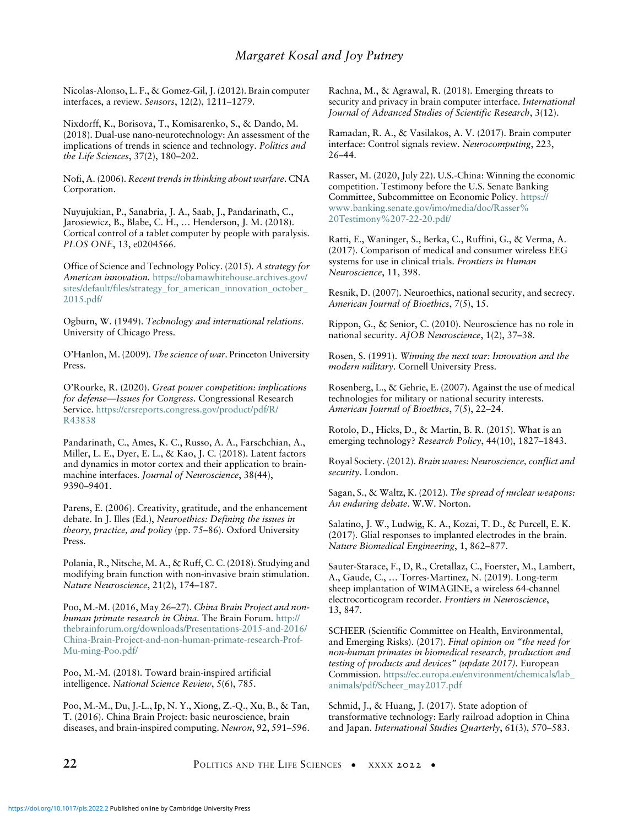<span id="page-21-24"></span><span id="page-21-13"></span>Nicolas-Alonso, L. F., & Gomez-Gil, J. (2012). Brain computer interfaces, a review. Sensors, 12(2), 1211–1279.

<span id="page-21-16"></span><span id="page-21-14"></span>Nixdorff, K., Borisova, T., Komisarenko, S., & Dando, M. (2018). Dual-use nano-neurotechnology: An assessment of the implications of trends in science and technology. Politics and the Life Sciences, 37(2), 180–202.

<span id="page-21-7"></span>Nofi, A. (2006). Recent trends in thinking about warfare. CNA Corporation.

<span id="page-21-21"></span><span id="page-21-19"></span>Nuyujukian, P., Sanabria, J. A., Saab, J., Pandarinath, C., Jarosiewicz, B., Blabe, C. H., … Henderson, J. M. (2018). Cortical control of a tablet computer by people with paralysis. PLOS ONE, 13, e0204566.

<span id="page-21-12"></span><span id="page-21-0"></span>Office of Science and Technology Policy. (2015). A strategy for American innovation. [https://obamawhitehouse.archives.gov/](https://obamawhitehouse.archives.gov/sites/default/files/strategy_for_american_innovation_october_2015.pdf/) [sites/default/files/strategy\\_for\\_american\\_innovation\\_october\\_](https://obamawhitehouse.archives.gov/sites/default/files/strategy_for_american_innovation_october_2015.pdf/) [2015.pdf/](https://obamawhitehouse.archives.gov/sites/default/files/strategy_for_american_innovation_october_2015.pdf/)

<span id="page-21-10"></span><span id="page-21-5"></span><span id="page-21-3"></span>Ogburn, W. (1949). Technology and international relations. University of Chicago Press.

<span id="page-21-8"></span><span id="page-21-6"></span>O'Hanlon, M. (2009). The science of war. Princeton University Press.

<span id="page-21-11"></span>O'Rourke, R. (2020). Great power competition: implications for defense—Issues for Congress. Congressional Research Service. [https://crsreports.congress.gov/product/pdf/R/](https://crsreports.congress.gov/product/pdf/R/R43838) [R43838](https://crsreports.congress.gov/product/pdf/R/R43838)

<span id="page-21-15"></span><span id="page-21-2"></span>Pandarinath, C., Ames, K. C., Russo, A. A., Farschchian, A., Miller, L. E., Dyer, E. L., & Kao, J. C. (2018). Latent factors and dynamics in motor cortex and their application to brainmachine interfaces. Journal of Neuroscience, 38(44), 9390–9401.

<span id="page-21-20"></span><span id="page-21-17"></span><span id="page-21-9"></span><span id="page-21-4"></span>Parens, E. (2006). Creativity, gratitude, and the enhancement debate. In J. Illes (Ed.), Neuroethics: Defining the issues in theory, practice, and policy (pp. 75–86). Oxford University Press.

<span id="page-21-23"></span><span id="page-21-18"></span>Polania, R., Nitsche, M. A., & Ruff, C. C. (2018). Studying and modifying brain function with non-invasive brain stimulation. Nature Neuroscience, 21(2), 174–187.

<span id="page-21-27"></span>Poo, M.-M. (2016, May 26–27). China Brain Project and nonhuman primate research in China. The Brain Forum. [http://](http://thebrainforum.org/downloads/Presentations-2015-and-2016/China-Brain-Project-and-non-human-primate-research-Prof-Mu-ming-Poo.pdf/) [thebrainforum.org/downloads/Presentations-2015-and-2016/](http://thebrainforum.org/downloads/Presentations-2015-and-2016/China-Brain-Project-and-non-human-primate-research-Prof-Mu-ming-Poo.pdf/) [China-Brain-Project-and-non-human-primate-research-Prof-](http://thebrainforum.org/downloads/Presentations-2015-and-2016/China-Brain-Project-and-non-human-primate-research-Prof-Mu-ming-Poo.pdf/)[Mu-ming-Poo.pdf/](http://thebrainforum.org/downloads/Presentations-2015-and-2016/China-Brain-Project-and-non-human-primate-research-Prof-Mu-ming-Poo.pdf/)

<span id="page-21-26"></span><span id="page-21-1"></span>Poo, M.-M. (2018). Toward brain-inspired artificial intelligence. National Science Review, 5(6), 785.

<span id="page-21-22"></span>Poo, M.-M., Du, J.-L., Ip, N. Y., Xiong, Z.-Q., Xu, B., & Tan, T. (2016). China Brain Project: basic neuroscience, brain diseases, and brain-inspired computing. Neuron, 92, 591–596. <span id="page-21-25"></span>Rachna, M., & Agrawal, R. (2018). Emerging threats to security and privacy in brain computer interface. International Journal of Advanced Studies of Scientific Research, 3(12).

Ramadan, R. A., & Vasilakos, A. V. (2017). Brain computer interface: Control signals review. Neurocomputing, 223, 26–44.

Rasser, M. (2020, July 22). U.S.-China: Winning the economic competition. Testimony before the U.S. Senate Banking Committee, Subcommittee on Economic Policy. [https://](https://www.banking.senate.gov/imo/media/doc/Rasser%20Testimony%207-22-20.pdf/) [www.banking.senate.gov/imo/media/doc/Rasser%](https://www.banking.senate.gov/imo/media/doc/Rasser%20Testimony%207-22-20.pdf/) [20Testimony%207-22-20.pdf/](https://www.banking.senate.gov/imo/media/doc/Rasser%20Testimony%207-22-20.pdf/)

Ratti, E., Waninger, S., Berka, C., Ruffini, G., & Verma, A. (2017). Comparison of medical and consumer wireless EEG systems for use in clinical trials. Frontiers in Human Neuroscience, 11, 398.

Resnik, D. (2007). Neuroethics, national security, and secrecy. American Journal of Bioethics, 7(5), 15.

Rippon, G., & Senior, C. (2010). Neuroscience has no role in national security. AJOB Neuroscience, 1(2), 37–38.

Rosen, S. (1991). Winning the next war: Innovation and the modern military. Cornell University Press.

Rosenberg, L., & Gehrie, E. (2007). Against the use of medical technologies for military or national security interests. American Journal of Bioethics, 7(5), 22–24.

Rotolo, D., Hicks, D., & Martin, B. R. (2015). What is an emerging technology? Research Policy, 44(10), 1827–1843.

Royal Society. (2012). Brain waves: Neuroscience, conflict and security. London.

Sagan, S., & Waltz, K. (2012). The spread of nuclear weapons: An enduring debate. W.W. Norton.

Salatino, J. W., Ludwig, K. A., Kozai, T. D., & Purcell, E. K. (2017). Glial responses to implanted electrodes in the brain. Nature Biomedical Engineering, 1, 862–877.

Sauter-Starace, F., D, R., Cretallaz, C., Foerster, M., Lambert, A., Gaude, C., … Torres-Martinez, N. (2019). Long-term sheep implantation of WIMAGINE, a wireless 64-channel electrocorticogram recorder. Frontiers in Neuroscience, 13, 847.

SCHEER (Scientific Committee on Health, Environmental, and Emerging Risks). (2017). Final opinion on "the need for non-human primates in biomedical research, production and testing of products and devices" (update 2017). European Commission. [https://ec.europa.eu/environment/chemicals/lab\\_](https://ec.europa.eu/environment/chemicals/lab_animals/pdf/Scheer_may2017.pdf) [animals/pdf/Scheer\\_may2017.pdf](https://ec.europa.eu/environment/chemicals/lab_animals/pdf/Scheer_may2017.pdf)

Schmid, J., & Huang, J. (2017). State adoption of transformative technology: Early railroad adoption in China and Japan. International Studies Quarterly, 61(3), 570–583.